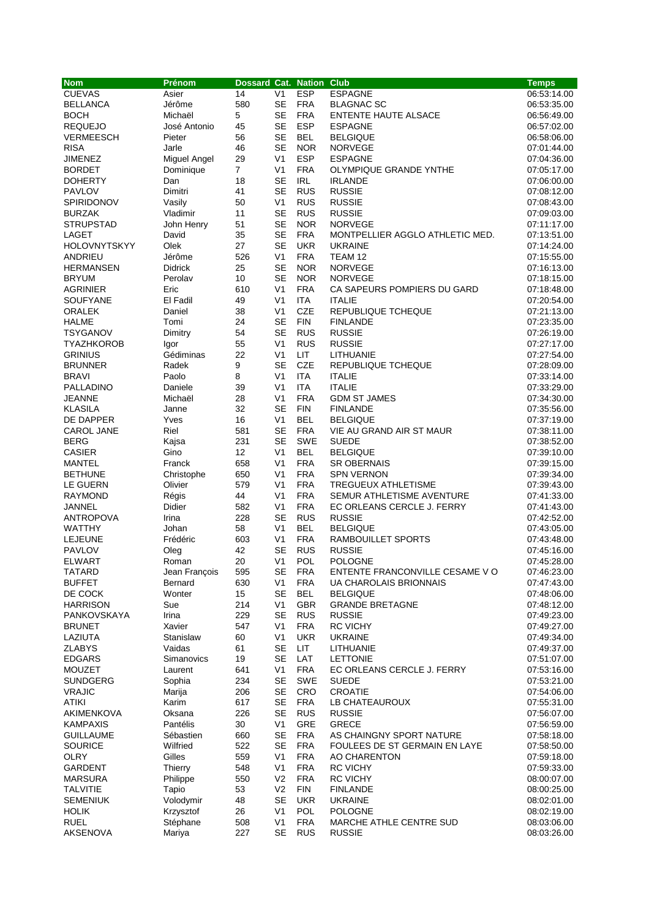| <b>Nom</b>                       | Prénom                   | Dossard Cat. Nation Club |                             |                          |                                         | <b>Temps</b>               |
|----------------------------------|--------------------------|--------------------------|-----------------------------|--------------------------|-----------------------------------------|----------------------------|
| <b>CUEVAS</b>                    | Asier                    | 14                       | V <sub>1</sub>              | <b>ESP</b>               | <b>ESPAGNE</b>                          | 06:53:14.00                |
| <b>BELLANCA</b>                  | Jérôme                   | 580                      | <b>SE</b>                   | <b>FRA</b>               | <b>BLAGNAC SC</b>                       | 06:53:35.00                |
| <b>BOCH</b>                      | Michaël                  | 5                        | <b>SE</b>                   | <b>FRA</b>               | <b>ENTENTE HAUTE ALSACE</b>             | 06:56:49.00                |
| <b>REQUEJO</b>                   | José Antonio             | 45                       | <b>SE</b>                   | <b>ESP</b>               | <b>ESPAGNE</b>                          | 06:57:02.00                |
| <b>VERMEESCH</b>                 | Pieter                   | 56                       | <b>SE</b>                   | <b>BEL</b>               | <b>BELGIQUE</b>                         | 06:58:06.00                |
| <b>RISA</b>                      | Jarle                    | 46                       | <b>SE</b>                   | <b>NOR</b>               | <b>NORVEGE</b>                          | 07:01:44.00                |
| <b>JIMENEZ</b>                   | Miguel Angel             | 29                       | V <sub>1</sub>              | <b>ESP</b>               | <b>ESPAGNE</b>                          | 07:04:36.00                |
| <b>BORDET</b>                    | Dominique                | 7                        | V <sub>1</sub>              | <b>FRA</b>               | OLYMPIQUE GRANDE YNTHE                  | 07:05:17.00                |
| <b>DOHERTY</b>                   | Dan                      | 18                       | <b>SE</b>                   | <b>IRL</b>               | <b>IRLANDE</b>                          | 07:06:00.00                |
| <b>PAVLOV</b>                    | Dimitri                  | 41                       | <b>SE</b>                   | <b>RUS</b>               | <b>RUSSIE</b>                           | 07:08:12.00                |
| <b>SPIRIDONOV</b>                | Vasily                   | 50                       | V <sub>1</sub>              | <b>RUS</b>               | <b>RUSSIE</b>                           | 07:08:43.00                |
| <b>BURZAK</b>                    | Vladimir                 | 11                       | <b>SE</b>                   | <b>RUS</b>               | <b>RUSSIE</b>                           | 07:09:03.00                |
| <b>STRUPSTAD</b>                 | John Henry               | 51                       | <b>SE</b>                   | <b>NOR</b>               | <b>NORVEGE</b>                          | 07:11:17.00                |
| LAGET                            | David                    | 35                       | <b>SE</b>                   | <b>FRA</b>               | MONTPELLIER AGGLO ATHLETIC MED.         | 07:13:51.00                |
| <b>HOLOVNYTSKYY</b>              | Olek                     | 27                       | <b>SE</b>                   | <b>UKR</b>               | <b>UKRAINE</b>                          | 07:14:24.00                |
| ANDRIEU                          | Jérôme                   | 526                      | V <sub>1</sub>              | <b>FRA</b>               | TEAM 12                                 | 07:15:55.00                |
| <b>HERMANSEN</b>                 | <b>Didrick</b>           | 25                       | <b>SE</b>                   | <b>NOR</b>               | <b>NORVEGE</b>                          | 07:16:13.00                |
| <b>BRYUM</b>                     | Perolav                  | 10                       | <b>SE</b>                   | <b>NOR</b>               | <b>NORVEGE</b>                          | 07:18:15.00                |
| <b>AGRINIER</b>                  | Eric                     | 610                      | V <sub>1</sub>              | <b>FRA</b>               | CA SAPEURS POMPIERS DU GARD             | 07:18:48.00                |
| <b>SOUFYANE</b>                  | El Fadil                 | 49                       | V <sub>1</sub>              | <b>ITA</b>               | <b>ITALIE</b>                           | 07:20:54.00                |
| <b>ORALEK</b>                    | Daniel                   | 38                       | V <sub>1</sub>              | <b>CZE</b>               | REPUBLIQUE TCHEQUE                      | 07:21:13.00                |
| <b>HALME</b>                     | Tomi                     | 24                       | <b>SE</b>                   | <b>FIN</b>               | <b>FINLANDE</b>                         | 07:23:35.00                |
| <b>TSYGANOV</b>                  | Dimitry                  | 54                       | <b>SE</b>                   | <b>RUS</b>               | <b>RUSSIE</b>                           | 07:26:19.00                |
| <b>TYAZHKOROB</b>                | Igor                     | 55                       | V <sub>1</sub>              | <b>RUS</b>               | <b>RUSSIE</b>                           | 07:27:17.00                |
| <b>GRINIUS</b>                   | Gédiminas                | 22                       | V <sub>1</sub>              | <b>LIT</b>               | LITHUANIE                               | 07:27:54.00                |
| <b>BRUNNER</b>                   | Radek                    | 9                        | <b>SE</b>                   | CZE                      | <b>REPUBLIQUE TCHEQUE</b>               | 07:28:09.00                |
| <b>BRAVI</b>                     | Paolo                    | 8                        | V <sub>1</sub>              | <b>ITA</b>               | <b>ITALIE</b>                           | 07:33:14.00                |
| PALLADINO                        | Daniele                  | 39                       | V <sub>1</sub>              | ITA                      | <b>ITALIE</b>                           | 07:33:29.00                |
| <b>JEANNE</b>                    | Michaël                  | 28                       | V <sub>1</sub>              | <b>FRA</b>               | <b>GDM ST JAMES</b>                     | 07:34:30.00                |
| <b>KLASILA</b>                   | Janne                    | 32                       | <b>SE</b>                   | <b>FIN</b>               | <b>FINLANDE</b>                         | 07:35:56.00                |
| DE DAPPER                        | Yves                     | 16                       | V <sub>1</sub>              | <b>BEL</b>               | <b>BELGIQUE</b>                         | 07:37:19.00                |
| CAROL JANE                       | Riel                     | 581                      | <b>SE</b>                   | <b>FRA</b>               | VIE AU GRAND AIR ST MAUR                | 07:38:11.00                |
| <b>BERG</b>                      | Kajsa                    | 231                      | <b>SE</b>                   | <b>SWE</b>               | <b>SUEDE</b>                            | 07:38:52.00                |
| <b>CASIER</b>                    | Gino                     | 12                       | V <sub>1</sub>              | <b>BEL</b>               | <b>BELGIQUE</b>                         | 07:39:10.00                |
| <b>MANTEL</b>                    | Franck                   | 658                      | V <sub>1</sub>              | <b>FRA</b>               | <b>SR OBERNAIS</b>                      | 07:39:15.00                |
| <b>BETHUNE</b>                   | Christophe               | 650                      | V <sub>1</sub>              | <b>FRA</b>               | <b>SPN VERNON</b>                       | 07:39:34.00                |
| LE GUERN                         | Olivier                  | 579                      | V <sub>1</sub>              | <b>FRA</b>               | TREGUEUX ATHLETISME                     | 07:39:43.00                |
| <b>RAYMOND</b>                   | Régis                    | 44                       | V <sub>1</sub>              | <b>FRA</b>               | SEMUR ATHLETISME AVENTURE               | 07:41:33.00                |
| JANNEL                           | Didier                   | 582                      | V <sub>1</sub>              | <b>FRA</b>               | EC ORLEANS CERCLE J. FERRY              | 07:41:43.00                |
| <b>ANTROPOVA</b>                 | Irina                    | 228                      | <b>SE</b>                   | <b>RUS</b>               | <b>RUSSIE</b>                           |                            |
| <b>WATTHY</b>                    | Johan                    | 58                       | V <sub>1</sub>              | <b>BEL</b>               | <b>BELGIQUE</b>                         | 07:42:52.00<br>07:43:05.00 |
| <b>LEJEUNE</b>                   | Frédéric                 | 603                      | V <sub>1</sub>              | <b>FRA</b>               | RAMBOUILLET SPORTS                      | 07:43:48.00                |
| <b>PAVLOV</b>                    |                          | 42                       | <b>SE</b>                   | <b>RUS</b>               | <b>RUSSIE</b>                           | 07:45:16.00                |
| <b>ELWART</b>                    | Oleg<br>Roman            | 20                       | V <sub>1</sub>              | POL                      | POLOGNE                                 | 07:45:28.00                |
|                                  |                          | 595                      | SE                          | <b>FRA</b>               | ENTENTE FRANCONVILLE CESAME VO          | 07:46:23.00                |
| TATARD<br><b>BUFFET</b>          | Jean François<br>Bernard | 630                      | V <sub>1</sub>              | <b>FRA</b>               | UA CHAROLAIS BRIONNAIS                  |                            |
| DE COCK                          | Wonter                   | 15                       | <b>SE</b>                   | <b>BEL</b>               | <b>BELGIQUE</b>                         | 07:47:43.00<br>07:48:06.00 |
| <b>HARRISON</b>                  |                          |                          |                             |                          |                                         |                            |
| PANKOVSKAYA                      | Sue                      | 214<br>229               | V <sub>1</sub><br><b>SE</b> | <b>GBR</b><br><b>RUS</b> | <b>GRANDE BRETAGNE</b><br><b>RUSSIE</b> | 07:48:12.00                |
|                                  | Irina                    |                          | V <sub>1</sub>              | <b>FRA</b>               | <b>RC VICHY</b>                         | 07:49:23.00                |
| <b>BRUNET</b><br>LAZIUTA         | Xavier<br>Stanislaw      | 547<br>60                | V <sub>1</sub>              | UKR                      | <b>UKRAINE</b>                          | 07:49:27.00                |
|                                  |                          |                          |                             |                          |                                         | 07:49:34.00                |
| <b>ZLABYS</b><br><b>EDGARS</b>   | Vaidas<br>Simanovics     | 61<br>19                 | SE<br>SE                    | LIT<br>LAT               | LITHUANIE<br><b>LETTONIE</b>            | 07:49:37.00<br>07:51:07.00 |
|                                  |                          |                          |                             |                          |                                         |                            |
| <b>MOUZET</b>                    | Laurent                  | 641                      | V <sub>1</sub><br><b>SE</b> | <b>FRA</b><br><b>SWE</b> | EC ORLEANS CERCLE J. FERRY              | 07:53:16.00                |
| <b>SUNDGERG</b><br><b>VRAJIC</b> | Sophia                   | 234                      |                             |                          | <b>SUEDE</b>                            | 07:53:21.00                |
| <b>ATIKI</b>                     | Marija                   | 206                      | SE                          | <b>CRO</b>               | <b>CROATIE</b>                          | 07:54:06.00                |
|                                  | Karim                    | 617                      | SE                          | <b>FRA</b>               | LB CHATEAUROUX                          | 07:55:31.00                |
| AKIMENKOVA                       | Oksana                   | 226                      | <b>SE</b>                   | <b>RUS</b><br>GRE        | <b>RUSSIE</b>                           | 07:56:07.00                |
| <b>KAMPAXIS</b>                  | Pantélis                 | 30                       | V <sub>1</sub>              |                          | <b>GRECE</b>                            | 07:56:59.00                |
| <b>GUILLAUME</b>                 | Sébastien                | 660                      | SE                          | <b>FRA</b>               | AS CHAINGNY SPORT NATURE                | 07:58:18.00                |
| <b>SOURICE</b>                   | Wilfried                 | 522                      | <b>SE</b>                   | <b>FRA</b>               | FOULEES DE ST GERMAIN EN LAYE           | 07:58:50.00                |
| <b>OLRY</b>                      | Gilles                   | 559                      | V <sub>1</sub>              | <b>FRA</b>               | AO CHARENTON                            | 07:59:18.00                |
| <b>GARDENT</b>                   | Thierry                  | 548                      | V <sub>1</sub>              | <b>FRA</b>               | <b>RC VICHY</b>                         | 07:59:33.00                |
| <b>MARSURA</b>                   | Philippe                 | 550                      | V <sub>2</sub>              | <b>FRA</b>               | <b>RC VICHY</b>                         | 08:00:07.00                |
| <b>TALVITIE</b>                  | Tapio                    | 53                       | V <sub>2</sub>              | <b>FIN</b>               | <b>FINLANDE</b>                         | 08:00:25.00                |
| <b>SEMENIUK</b>                  | Volodymir                | 48                       | <b>SE</b>                   | UKR                      | <b>UKRAINE</b>                          | 08:02:01.00                |
| <b>HOLIK</b>                     | Krzysztof                | 26                       | V <sub>1</sub>              | <b>POL</b>               | <b>POLOGNE</b>                          | 08:02:19.00                |
| <b>RUEL</b>                      | Stéphane                 | 508                      | V <sub>1</sub>              | <b>FRA</b>               | MARCHE ATHLE CENTRE SUD                 | 08:03:06.00                |
| AKSENOVA                         | Mariya                   | 227                      | <b>SE</b>                   | <b>RUS</b>               | <b>RUSSIE</b>                           | 08:03:26.00                |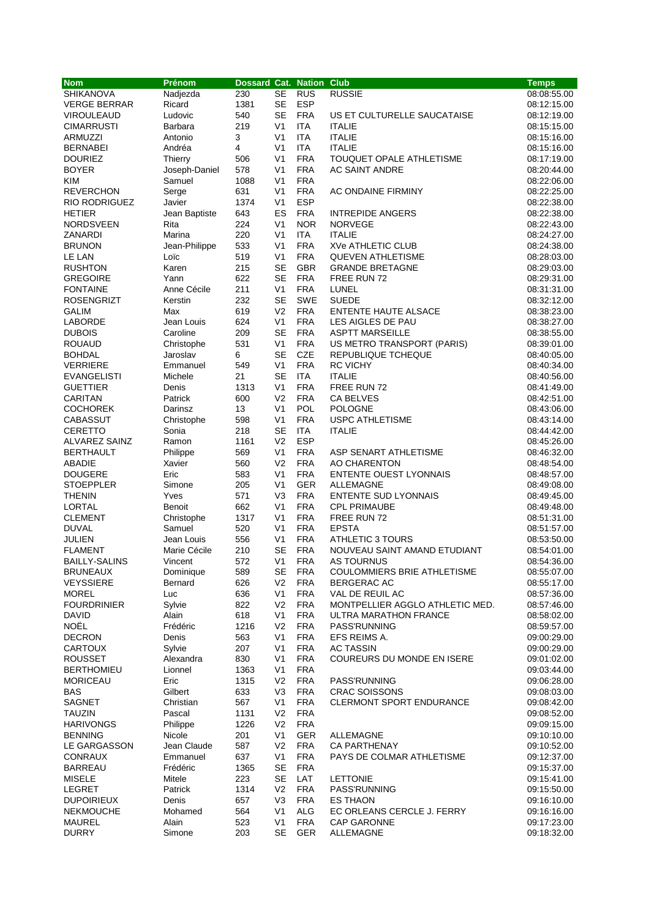| <b>Nom</b>           | Prénom         | Dossard Cat. Nation Club |                |            |                                 | <b>Temps</b> |
|----------------------|----------------|--------------------------|----------------|------------|---------------------------------|--------------|
| <b>SHIKANOVA</b>     | Nadjezda       | 230                      | <b>SE</b>      | <b>RUS</b> | <b>RUSSIE</b>                   | 08:08:55.00  |
| <b>VERGE BERRAR</b>  | Ricard         | 1381                     | <b>SE</b>      | <b>ESP</b> |                                 | 08:12:15.00  |
| VIROULEAUD           | Ludovic        | 540                      | <b>SE</b>      | <b>FRA</b> | US ET CULTURELLE SAUCATAISE     | 08:12:19.00  |
| <b>CIMARRUSTI</b>    | Barbara        | 219                      | V <sub>1</sub> | <b>ITA</b> | <b>ITALIE</b>                   | 08:15:15.00  |
| <b>ARMUZZI</b>       | Antonio        | 3                        | V <sub>1</sub> | <b>ITA</b> | <b>ITALIE</b>                   | 08:15:16.00  |
| <b>BERNABEI</b>      | Andréa         | $\overline{4}$           | V <sub>1</sub> | <b>ITA</b> | <b>ITALIE</b>                   | 08:15:16.00  |
| <b>DOURIEZ</b>       | Thierry        | 506                      | V <sub>1</sub> | <b>FRA</b> | TOUQUET OPALE ATHLETISME        | 08:17:19.00  |
| <b>BOYER</b>         | Joseph-Daniel  | 578                      | V <sub>1</sub> | <b>FRA</b> | <b>AC SAINT ANDRE</b>           | 08:20:44.00  |
| <b>KIM</b>           | Samuel         | 1088                     | V <sub>1</sub> | <b>FRA</b> |                                 | 08:22:06.00  |
| <b>REVERCHON</b>     | Serge          | 631                      | V <sub>1</sub> | <b>FRA</b> | AC ONDAINE FIRMINY              | 08:22:25.00  |
| <b>RIO RODRIGUEZ</b> | Javier         | 1374                     | V <sub>1</sub> | <b>ESP</b> |                                 | 08:22:38.00  |
| <b>HETIER</b>        | Jean Baptiste  | 643                      | ES             | <b>FRA</b> | <b>INTREPIDE ANGERS</b>         | 08:22:38.00  |
| NORDSVEEN            | Rita           | 224                      | V <sub>1</sub> | <b>NOR</b> | <b>NORVEGE</b>                  | 08:22:43.00  |
| ZANARDI              | Marina         | 220                      | V <sub>1</sub> | <b>ITA</b> | <b>ITALIE</b>                   | 08:24:27.00  |
| <b>BRUNON</b>        | Jean-Philippe  | 533                      | V <sub>1</sub> | <b>FRA</b> | XVe ATHLETIC CLUB               | 08:24:38.00  |
| LE LAN               | Loïc           | 519                      | V <sub>1</sub> | <b>FRA</b> | <b>QUEVEN ATHLETISME</b>        | 08:28:03.00  |
| <b>RUSHTON</b>       | Karen          | 215                      | <b>SE</b>      | <b>GBR</b> | <b>GRANDE BRETAGNE</b>          | 08:29:03.00  |
| <b>GREGOIRE</b>      | Yann           | 622                      | <b>SE</b>      | <b>FRA</b> | FREE RUN 72                     | 08:29:31.00  |
| <b>FONTAINE</b>      | Anne Cécile    | 211                      | V <sub>1</sub> | <b>FRA</b> | LUNEL                           | 08:31:31.00  |
| <b>ROSENGRIZT</b>    | Kerstin        | 232                      | <b>SE</b>      | SWE        | <b>SUEDE</b>                    | 08:32:12.00  |
| <b>GALIM</b>         | Max            | 619                      | V <sub>2</sub> | <b>FRA</b> | ENTENTE HAUTE ALSACE            | 08:38:23.00  |
| LABORDE              | Jean Louis     | 624                      | V <sub>1</sub> | <b>FRA</b> | LES AIGLES DE PAU               | 08:38:27.00  |
| <b>DUBOIS</b>        | Caroline       | 209                      | <b>SE</b>      | <b>FRA</b> | <b>ASPTT MARSEILLE</b>          | 08:38:55.00  |
| <b>ROUAUD</b>        | Christophe     | 531                      | V <sub>1</sub> | <b>FRA</b> | US METRO TRANSPORT (PARIS)      | 08:39:01.00  |
| <b>BOHDAL</b>        | Jaroslav       | 6                        | <b>SE</b>      | CZE        | REPUBLIQUE TCHEQUE              | 08:40:05.00  |
| <b>VERRIERE</b>      | Emmanuel       | 549                      | V <sub>1</sub> | <b>FRA</b> | <b>RC VICHY</b>                 | 08:40:34.00  |
| <b>EVANGELISTI</b>   | Michele        | 21                       | <b>SE</b>      | <b>ITA</b> | <b>ITALIE</b>                   | 08:40:56.00  |
| <b>GUETTIER</b>      | Denis          | 1313                     | V <sub>1</sub> | <b>FRA</b> | FREE RUN 72                     | 08:41:49.00  |
| <b>CARITAN</b>       | Patrick        | 600                      | V <sub>2</sub> | <b>FRA</b> | CA BELVES                       | 08:42:51.00  |
| <b>COCHOREK</b>      | Darinsz        | 13                       | V <sub>1</sub> | POL        | <b>POLOGNE</b>                  | 08:43:06.00  |
| <b>CABASSUT</b>      | Christophe     | 598                      | V <sub>1</sub> | <b>FRA</b> | <b>USPC ATHLETISME</b>          | 08:43:14.00  |
| <b>CERETTO</b>       | Sonia          | 218                      | <b>SE</b>      | <b>ITA</b> | <b>ITALIE</b>                   | 08:44:42.00  |
| <b>ALVAREZ SAINZ</b> | Ramon          | 1161                     | V <sub>2</sub> | <b>ESP</b> |                                 | 08:45:26.00  |
| <b>BERTHAULT</b>     | Philippe       | 569                      | V <sub>1</sub> | <b>FRA</b> | ASP SENART ATHLETISME           | 08:46:32.00  |
| ABADIE               | Xavier         | 560                      | V <sub>2</sub> | <b>FRA</b> | AO CHARENTON                    | 08:48:54.00  |
| <b>DOUGERE</b>       | Eric           | 583                      | V <sub>1</sub> | <b>FRA</b> | <b>ENTENTE OUEST LYONNAIS</b>   | 08:48:57.00  |
| <b>STOEPPLER</b>     | Simone         | 205                      | V <sub>1</sub> | <b>GER</b> | ALLEMAGNE                       | 08:49:08.00  |
| <b>THENIN</b>        | Yves           | 571                      | V <sub>3</sub> | <b>FRA</b> | <b>ENTENTE SUD LYONNAIS</b>     | 08:49:45.00  |
| <b>LORTAL</b>        | Benoit         | 662                      | V <sub>1</sub> | <b>FRA</b> | <b>CPL PRIMAUBE</b>             | 08:49:48.00  |
| <b>CLEMENT</b>       | Christophe     | 1317                     | V <sub>1</sub> | <b>FRA</b> | FREE RUN 72                     | 08:51:31.00  |
| <b>DUVAL</b>         | Samuel         | 520                      | V <sub>1</sub> | <b>FRA</b> | <b>EPSTA</b>                    | 08:51:57.00  |
| JULIEN               | Jean Louis     | 556                      | V <sub>1</sub> | <b>FRA</b> | <b>ATHLETIC 3 TOURS</b>         | 08:53:50.00  |
| <b>FLAMENT</b>       | Marie Cécile   | 210                      | <b>SE</b>      | <b>FRA</b> | NOUVEAU SAINT AMAND ETUDIANT    | 08:54:01.00  |
| <b>BAILLY-SALINS</b> | Vincent        | 572                      | V <sub>1</sub> | <b>FRA</b> | <b>AS TOURNUS</b>               | 08:54:36.00  |
| <b>BRUNEAUX</b>      | Dominique      | 589                      | SЕ             | <b>FRA</b> | COULOMMIERS BRIE ATHLETISME     | 08:55:07.00  |
| <b>VEYSSIERE</b>     | <b>Bernard</b> | 626                      | V2             | <b>FRA</b> | BERGERAC AC                     | 08:55:17.00  |
| <b>MOREL</b>         | Luc            | 636                      | V1             | <b>FRA</b> | VAL DE REUIL AC                 | 08:57:36.00  |
| <b>FOURDRINIER</b>   | Sylvie         | 822                      | V <sub>2</sub> | <b>FRA</b> | MONTPELLIER AGGLO ATHLETIC MED. | 08:57:46.00  |
| DAVID                | Alain          | 618                      | V <sub>1</sub> | <b>FRA</b> | ULTRA MARATHON FRANCE           | 08:58:02.00  |
| NOËL                 | Frédéric       | 1216                     | V <sub>2</sub> | <b>FRA</b> | PASS'RUNNING                    | 08:59:57.00  |
| <b>DECRON</b>        | Denis          | 563                      | V <sub>1</sub> | <b>FRA</b> | EFS REIMS A.                    | 09:00:29.00  |
| <b>CARTOUX</b>       | Sylvie         | 207                      | V <sub>1</sub> | <b>FRA</b> | <b>AC TASSIN</b>                | 09:00:29.00  |
| <b>ROUSSET</b>       | Alexandra      | 830                      | V <sub>1</sub> | <b>FRA</b> | COUREURS DU MONDE EN ISERE      | 09:01:02.00  |
| <b>BERTHOMIEU</b>    | Lionnel        | 1363                     | V <sub>1</sub> | <b>FRA</b> |                                 | 09:03:44.00  |
| <b>MORICEAU</b>      | Eric           | 1315                     | V <sub>2</sub> | <b>FRA</b> | PASS'RUNNING                    | 09:06:28.00  |
| BAS                  | Gilbert        | 633                      | V <sub>3</sub> | <b>FRA</b> | <b>CRAC SOISSONS</b>            | 09:08:03.00  |
| SAGNET               | Christian      | 567                      | V1             | <b>FRA</b> | <b>CLERMONT SPORT ENDURANCE</b> | 09:08:42.00  |
| <b>TAUZIN</b>        | Pascal         | 1131                     | V <sub>2</sub> | <b>FRA</b> |                                 | 09:08:52.00  |
| <b>HARIVONGS</b>     | Philippe       | 1226                     | V <sub>2</sub> | <b>FRA</b> |                                 | 09:09:15.00  |
| <b>BENNING</b>       | Nicole         | 201                      | V <sub>1</sub> | <b>GER</b> | ALLEMAGNE                       | 09:10:10.00  |
| LE GARGASSON         | Jean Claude    | 587                      | V <sub>2</sub> | <b>FRA</b> | <b>CA PARTHENAY</b>             | 09:10:52.00  |
| <b>CONRAUX</b>       | Emmanuel       | 637                      | V <sub>1</sub> | <b>FRA</b> | PAYS DE COLMAR ATHLETISME       | 09:12:37.00  |
| <b>BARREAU</b>       | Frédéric       | 1365                     | <b>SE</b>      | <b>FRA</b> |                                 | 09:15:37.00  |
| <b>MISELE</b>        | Mitele         | 223                      | <b>SE</b>      | LAT        | <b>LETTONIE</b>                 | 09:15:41.00  |
| LEGRET               | Patrick        | 1314                     | V <sub>2</sub> | <b>FRA</b> | PASS'RUNNING                    | 09:15:50.00  |
| <b>DUPOIRIEUX</b>    | Denis          | 657                      | V <sub>3</sub> | <b>FRA</b> | <b>ES THAON</b>                 | 09:16:10.00  |
| <b>NEKMOUCHE</b>     | Mohamed        | 564                      | V1             | <b>ALG</b> | EC ORLEANS CERCLE J. FERRY      | 09:16:16.00  |
| MAUREL               | Alain          | 523                      | V <sub>1</sub> | <b>FRA</b> | <b>CAP GARONNE</b>              | 09:17:23.00  |
| <b>DURRY</b>         | Simone         | 203                      | SE             | GER        | ALLEMAGNE                       | 09:18:32.00  |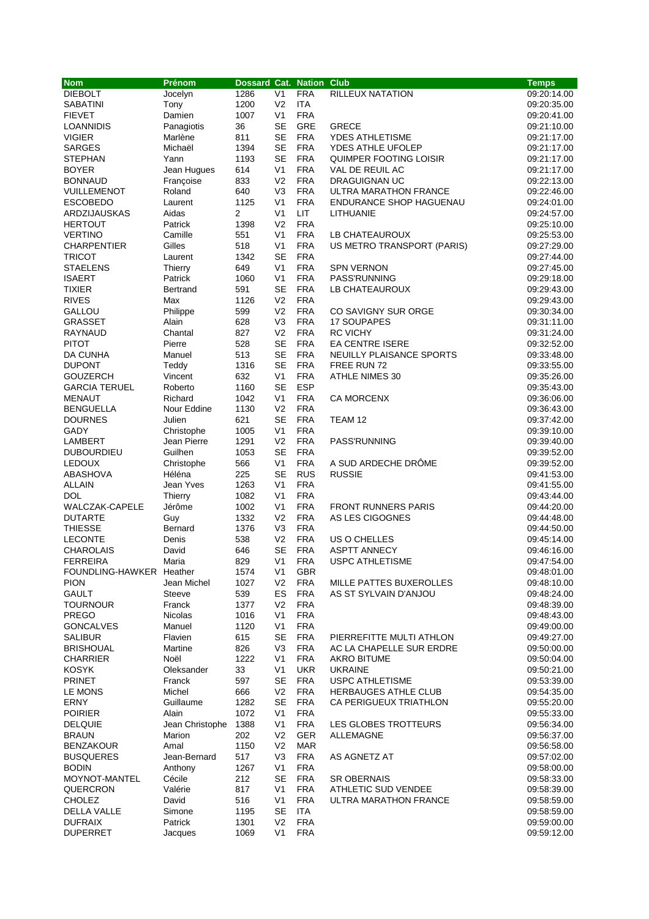| <b>Nom</b>                           | Prénom                   | Dossard Cat. Nation Club |                                  |                          |                                  | <b>Temps</b>               |
|--------------------------------------|--------------------------|--------------------------|----------------------------------|--------------------------|----------------------------------|----------------------------|
| <b>DIEBOLT</b>                       | Jocelyn                  | 1286                     | V <sub>1</sub>                   | <b>FRA</b>               | RILLEUX NATATION                 | 09:20:14.00                |
| <b>SABATINI</b>                      | Tony                     | 1200                     | V <sub>2</sub>                   | <b>ITA</b>               |                                  | 09:20:35.00                |
| <b>FIEVET</b>                        | Damien                   | 1007                     | V <sub>1</sub>                   | <b>FRA</b>               |                                  | 09:20:41.00                |
| LOANNIDIS                            | Panagiotis               | 36                       | <b>SE</b>                        | GRE                      | <b>GRECE</b>                     | 09:21:10.00                |
| <b>VIGIER</b>                        | Marlène                  | 811                      | <b>SE</b>                        | <b>FRA</b>               | YDES ATHLETISME                  | 09:21:17.00                |
| <b>SARGES</b>                        | Michaël                  | 1394                     | <b>SE</b>                        | <b>FRA</b>               | YDES ATHLE UFOLEP                | 09:21:17.00                |
| <b>STEPHAN</b>                       | Yann                     | 1193                     | <b>SE</b><br>V <sub>1</sub>      | <b>FRA</b><br><b>FRA</b> | QUIMPER FOOTING LOISIR           | 09:21:17.00                |
| <b>BOYER</b><br><b>BONNAUD</b>       | Jean Hugues<br>Françoise | 614<br>833               | V <sub>2</sub>                   | <b>FRA</b>               | VAL DE REUIL AC<br>DRAGUIGNAN UC | 09:21:17.00<br>09:22:13.00 |
| VUILLEMENOT                          | Roland                   | 640                      | V <sub>3</sub>                   | <b>FRA</b>               | ULTRA MARATHON FRANCE            | 09:22:46.00                |
| <b>ESCOBEDO</b>                      | Laurent                  | 1125                     | V <sub>1</sub>                   | <b>FRA</b>               | <b>ENDURANCE SHOP HAGUENAU</b>   | 09:24:01.00                |
| ARDZIJAUSKAS                         | Aidas                    | 2                        | V <sub>1</sub>                   | LIT.                     | <b>LITHUANIE</b>                 | 09:24:57.00                |
| <b>HERTOUT</b>                       | Patrick                  | 1398                     | V <sub>2</sub>                   | <b>FRA</b>               |                                  | 09:25:10.00                |
| <b>VERTINO</b>                       | Camille                  | 551                      | V <sub>1</sub>                   | <b>FRA</b>               | LB CHATEAUROUX                   | 09:25:53.00                |
| <b>CHARPENTIER</b>                   | Gilles                   | 518                      | V <sub>1</sub>                   | <b>FRA</b>               | US METRO TRANSPORT (PARIS)       | 09:27:29.00                |
| <b>TRICOT</b>                        | Laurent                  | 1342                     | <b>SE</b>                        | <b>FRA</b>               |                                  | 09:27:44.00                |
| <b>STAELENS</b>                      | Thierry                  | 649                      | V <sub>1</sub>                   | <b>FRA</b>               | <b>SPN VERNON</b>                | 09:27:45.00                |
| <b>ISAERT</b>                        | Patrick                  | 1060                     | V <sub>1</sub>                   | <b>FRA</b>               | PASS'RUNNING                     | 09:29:18.00                |
| TIXIER                               | Bertrand                 | 591                      | <b>SE</b>                        | <b>FRA</b>               | LB CHATEAUROUX                   | 09:29:43.00                |
| <b>RIVES</b>                         | Max                      | 1126                     | V <sub>2</sub>                   | <b>FRA</b>               |                                  | 09:29:43.00                |
| GALLOU                               | Philippe                 | 599                      | V <sub>2</sub>                   | <b>FRA</b>               | CO SAVIGNY SUR ORGE              | 09:30:34.00                |
| <b>GRASSET</b>                       | Alain                    | 628                      | V3                               | <b>FRA</b>               | <b>17 SOUPAPES</b>               | 09:31:11.00                |
| <b>RAYNAUD</b>                       | Chantal                  | 827                      | V <sub>2</sub>                   | <b>FRA</b>               | <b>RC VICHY</b>                  | 09:31:24.00                |
| <b>PITOT</b>                         | Pierre                   | 528                      | <b>SE</b>                        | <b>FRA</b>               | <b>EA CENTRE ISERE</b>           | 09:32:52.00                |
| DA CUNHA                             | Manuel                   | 513                      | <b>SE</b>                        | <b>FRA</b>               | NEUILLY PLAISANCE SPORTS         | 09:33:48.00                |
| <b>DUPONT</b>                        | Teddy                    | 1316                     | <b>SE</b>                        | <b>FRA</b>               | FREE RUN 72                      | 09:33:55.00                |
| <b>GOUZERCH</b>                      | Vincent                  | 632                      | V <sub>1</sub>                   | <b>FRA</b>               | <b>ATHLE NIMES 30</b>            | 09:35:26.00                |
| <b>GARCIA TERUEL</b>                 | Roberto                  | 1160<br>1042             | <b>SE</b><br>V <sub>1</sub>      | <b>ESP</b><br><b>FRA</b> |                                  | 09:35:43.00                |
| <b>MENAUT</b><br><b>BENGUELLA</b>    | Richard<br>Nour Eddine   | 1130                     | V <sub>2</sub>                   | <b>FRA</b>               | <b>CA MORCENX</b>                | 09:36:06.00<br>09:36:43.00 |
| <b>DOURNES</b>                       | Julien                   | 621                      | <b>SE</b>                        | <b>FRA</b>               | TEAM 12                          | 09:37:42.00                |
| GADY                                 | Christophe               | 1005                     | V <sub>1</sub>                   | <b>FRA</b>               |                                  | 09:39:10.00                |
| LAMBERT                              | Jean Pierre              | 1291                     | V <sub>2</sub>                   | <b>FRA</b>               | PASS'RUNNING                     | 09:39:40.00                |
| <b>DUBOURDIEU</b>                    | Guilhen                  | 1053                     | <b>SE</b>                        | <b>FRA</b>               |                                  | 09:39:52.00                |
| <b>LEDOUX</b>                        | Christophe               | 566                      | V <sub>1</sub>                   | <b>FRA</b>               | A SUD ARDECHE DRÔME              | 09:39:52.00                |
| ABASHOVA                             | Héléna                   | 225                      | <b>SE</b>                        | <b>RUS</b>               | <b>RUSSIE</b>                    | 09:41:53.00                |
| <b>ALLAIN</b>                        | Jean Yves                | 1263                     | V <sub>1</sub>                   | <b>FRA</b>               |                                  | 09:41:55.00                |
| <b>DOL</b>                           | Thierry                  | 1082                     | V <sub>1</sub>                   | <b>FRA</b>               |                                  | 09:43:44.00                |
| <b>WALCZAK-CAPELE</b>                | Jérôme                   | 1002                     | V <sub>1</sub>                   | <b>FRA</b>               | <b>FRONT RUNNERS PARIS</b>       | 09:44:20.00                |
| <b>DUTARTE</b>                       | Guy                      | 1332                     | V <sub>2</sub>                   | <b>FRA</b>               | AS LES CIGOGNES                  | 09:44:48.00                |
| <b>THIESSE</b>                       | Bernard                  | 1376                     | V <sub>3</sub>                   | <b>FRA</b>               |                                  | 09:44:50.00                |
| <b>LECONTE</b>                       | Denis                    | 538                      | V <sub>2</sub>                   | <b>FRA</b>               | US O CHELLES                     | 09:45:14.00                |
| <b>CHAROLAIS</b>                     | David                    | 646                      | <b>SE</b>                        | <b>FRA</b>               | <b>ASPTT ANNECY</b>              | 09:46:16.00                |
| <b>FERREIRA</b>                      | Maria                    | 829                      | V <sub>1</sub>                   | <b>FRA</b>               | <b>USPC ATHLETISME</b>           | 09:47:54.00                |
| FOUNDLING-HAWKER Heather             |                          | 1574                     | V <sub>1</sub>                   | <b>GBR</b>               |                                  | 09:48:01.00                |
| <b>PION</b>                          | Jean Michel              | 1027                     | V <sub>2</sub>                   | <b>FRA</b>               | MILLE PATTES BUXEROLLES          | 09:48:10.00                |
| <b>GAULT</b>                         | Steeve                   | 539                      | ES                               | <b>FRA</b><br><b>FRA</b> | AS ST SYLVAIN D'ANJOU            | 09:48:24.00                |
| TOURNOUR<br>PREGO                    | Franck<br><b>Nicolas</b> | 1377<br>1016             | V <sub>2</sub><br>V <sub>1</sub> | <b>FRA</b>               |                                  | 09:48:39.00<br>09:48:43.00 |
| <b>GONCALVES</b>                     | Manuel                   | 1120                     | V <sub>1</sub>                   | <b>FRA</b>               |                                  | 09:49:00.00                |
| <b>SALIBUR</b>                       | Flavien                  | 615                      | <b>SE</b>                        | <b>FRA</b>               | PIERREFITTE MULTI ATHLON         | 09:49:27.00                |
| <b>BRISHOUAL</b>                     | Martine                  | 826                      | V <sub>3</sub>                   | <b>FRA</b>               | AC LA CHAPELLE SUR ERDRE         | 09:50:00.00                |
| <b>CHARRIER</b>                      | Noël                     | 1222                     | V <sub>1</sub>                   | <b>FRA</b>               | <b>AKRO BITUME</b>               | 09:50:04.00                |
| <b>KOSYK</b>                         | Oleksander               | 33                       | V <sub>1</sub>                   | <b>UKR</b>               | <b>UKRAINE</b>                   | 09:50:21.00                |
| <b>PRINET</b>                        | Franck                   | 597                      | <b>SE</b>                        | <b>FRA</b>               | <b>USPC ATHLETISME</b>           | 09:53:39.00                |
| LE MONS                              | Michel                   | 666                      | V <sub>2</sub>                   | <b>FRA</b>               | <b>HERBAUGES ATHLE CLUB</b>      | 09:54:35.00                |
| ERNY                                 | Guillaume                | 1282                     | <b>SE</b>                        | <b>FRA</b>               | CA PERIGUEUX TRIATHLON           | 09:55:20.00                |
| <b>POIRIER</b>                       | Alain                    | 1072                     | V <sub>1</sub>                   | <b>FRA</b>               |                                  | 09:55:33.00                |
| <b>DELQUIE</b>                       | Jean Christophe          | 1388                     | V <sub>1</sub>                   | <b>FRA</b>               | LES GLOBES TROTTEURS             | 09:56:34.00                |
| <b>BRAUN</b>                         | Marion                   | 202                      | V <sub>2</sub>                   | <b>GER</b>               | ALLEMAGNE                        | 09:56:37.00                |
| <b>BENZAKOUR</b>                     | Amal                     | 1150                     | V <sub>2</sub>                   | <b>MAR</b>               |                                  | 09:56:58.00                |
| <b>BUSQUERES</b>                     | Jean-Bernard             | 517                      | V <sub>3</sub>                   | <b>FRA</b>               | AS AGNETZ AT                     | 09:57:02.00                |
| <b>BODIN</b>                         | Anthony                  | 1267                     | V <sub>1</sub>                   | <b>FRA</b>               |                                  | 09:58:00.00                |
| MOYNOT-MANTEL                        | Cécile                   | 212                      | <b>SE</b>                        | <b>FRA</b>               | <b>SR OBERNAIS</b>               | 09:58:33.00                |
| QUERCRON                             | Valérie                  | 817                      | V <sub>1</sub>                   | <b>FRA</b>               | ATHLETIC SUD VENDEE              | 09:58:39.00                |
| <b>CHOLEZ</b>                        | David                    | 516                      | V <sub>1</sub>                   | <b>FRA</b>               | ULTRA MARATHON FRANCE            | 09:58:59.00                |
| <b>DELLA VALLE</b><br><b>DUFRAIX</b> | Simone<br>Patrick        | 1195<br>1301             | <b>SE</b><br>V <sub>2</sub>      | <b>ITA</b><br><b>FRA</b> |                                  | 09:58:59.00<br>09:59:00.00 |
| <b>DUPERRET</b>                      | Jacques                  | 1069                     | V1                               | <b>FRA</b>               |                                  | 09:59:12.00                |
|                                      |                          |                          |                                  |                          |                                  |                            |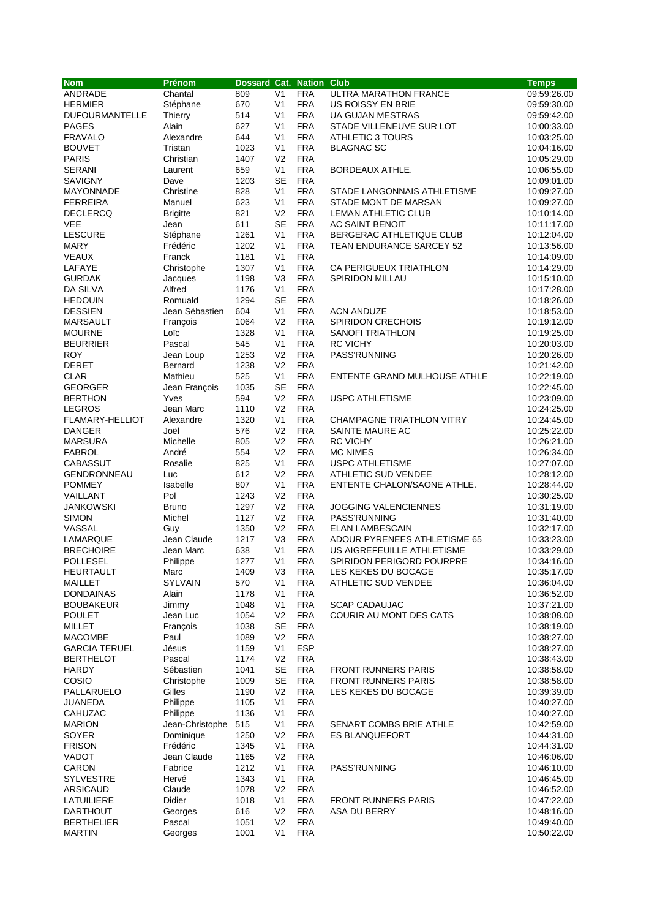| <b>Nom</b>             | Prénom          | <b>Dossard Cat. Nation Club</b> |                |            |                                  | <b>Temps</b> |
|------------------------|-----------------|---------------------------------|----------------|------------|----------------------------------|--------------|
| ANDRADE                | Chantal         | 809                             | V <sub>1</sub> | <b>FRA</b> | ULTRA MARATHON FRANCE            | 09:59:26.00  |
| <b>HERMIER</b>         | Stéphane        | 670                             | V <sub>1</sub> | <b>FRA</b> | US ROISSY EN BRIE                | 09:59:30.00  |
| <b>DUFOURMANTELLE</b>  | Thierry         | 514                             | V <sub>1</sub> | <b>FRA</b> | UA GUJAN MESTRAS                 | 09:59:42.00  |
| <b>PAGES</b>           | Alain           | 627                             | V <sub>1</sub> | <b>FRA</b> | STADE VILLENEUVE SUR LOT         | 10:00:33.00  |
| <b>FRAVALO</b>         | Alexandre       | 644                             | V <sub>1</sub> | <b>FRA</b> | <b>ATHLETIC 3 TOURS</b>          | 10:03:25.00  |
| <b>BOUVET</b>          | Tristan         | 1023                            | V <sub>1</sub> | <b>FRA</b> | <b>BLAGNAC SC</b>                | 10:04:16.00  |
| <b>PARIS</b>           | Christian       | 1407                            | V <sub>2</sub> | <b>FRA</b> |                                  | 10:05:29.00  |
| <b>SERANI</b>          | Laurent         | 659                             | V <sub>1</sub> | <b>FRA</b> | BORDEAUX ATHLE.                  | 10:06:55.00  |
| <b>SAVIGNY</b>         | Dave            | 1203                            | <b>SE</b>      | <b>FRA</b> |                                  | 10:09:01.00  |
| MAYONNADE              | Christine       | 828                             | V <sub>1</sub> | <b>FRA</b> | STADE LANGONNAIS ATHLETISME      | 10:09:27.00  |
| <b>FERREIRA</b>        | Manuel          | 623                             | V <sub>1</sub> | <b>FRA</b> | STADE MONT DE MARSAN             | 10:09:27.00  |
| <b>DECLERCQ</b>        | <b>Brigitte</b> | 821                             | V <sub>2</sub> | <b>FRA</b> | LEMAN ATHLETIC CLUB              | 10:10:14.00  |
| VEE                    | Jean            | 611                             | <b>SE</b>      | <b>FRA</b> | AC SAINT BENOIT                  | 10:11:17.00  |
| <b>LESCURE</b>         | Stéphane        | 1261                            | V <sub>1</sub> | <b>FRA</b> | BERGERAC ATHLETIQUE CLUB         | 10:12:04.00  |
| <b>MARY</b>            | Frédéric        | 1202                            | V <sub>1</sub> | <b>FRA</b> | <b>TEAN ENDURANCE SARCEY 52</b>  | 10:13:56.00  |
| VEAUX                  | Franck          | 1181                            | V <sub>1</sub> | <b>FRA</b> |                                  | 10:14:09.00  |
| LAFAYE                 | Christophe      | 1307                            | V <sub>1</sub> | <b>FRA</b> | CA PERIGUEUX TRIATHLON           | 10:14:29.00  |
| <b>GURDAK</b>          | Jacques         | 1198                            | V <sub>3</sub> | <b>FRA</b> | <b>SPIRIDON MILLAU</b>           | 10:15:10.00  |
| DA SILVA               | Alfred          | 1176                            | V <sub>1</sub> | <b>FRA</b> |                                  | 10:17:28.00  |
| <b>HEDOUIN</b>         | Romuald         | 1294                            | <b>SE</b>      | <b>FRA</b> |                                  | 10:18:26.00  |
| <b>DESSIEN</b>         | Jean Sébastien  | 604                             | V <sub>1</sub> | <b>FRA</b> | <b>ACN ANDUZE</b>                | 10:18:53.00  |
| MARSAULT               | François        | 1064                            | V <sub>2</sub> | <b>FRA</b> | <b>SPIRIDON CRECHOIS</b>         | 10:19:12.00  |
| <b>MOURNE</b>          | Loïc            | 1328                            | V <sub>1</sub> | <b>FRA</b> | <b>SANOFI TRIATHLON</b>          | 10:19:25.00  |
| <b>BEURRIER</b>        | Pascal          | 545                             | V <sub>1</sub> | <b>FRA</b> | <b>RC VICHY</b>                  | 10:20:03.00  |
| <b>ROY</b>             | Jean Loup       | 1253                            | V <sub>2</sub> | <b>FRA</b> | PASS'RUNNING                     | 10:20:26.00  |
| DERET                  | Bernard         | 1238                            | V <sub>2</sub> | <b>FRA</b> |                                  | 10:21:42.00  |
| <b>CLAR</b>            | Mathieu         | 525                             | V <sub>1</sub> | <b>FRA</b> | ENTENTE GRAND MULHOUSE ATHLE     | 10:22:19.00  |
| <b>GEORGER</b>         | Jean François   | 1035                            | <b>SE</b>      | <b>FRA</b> |                                  | 10:22:45.00  |
| <b>BERTHON</b>         | Yves            | 594                             | V <sub>2</sub> | <b>FRA</b> | <b>USPC ATHLETISME</b>           | 10:23:09.00  |
| <b>LEGROS</b>          | Jean Marc       | 1110                            | V <sub>2</sub> | <b>FRA</b> |                                  | 10:24:25.00  |
| <b>FLAMARY-HELLIOT</b> | Alexandre       | 1320                            | V <sub>1</sub> | <b>FRA</b> | <b>CHAMPAGNE TRIATHLON VITRY</b> | 10:24:45.00  |
| DANGER                 | Joël            | 576                             | V <sub>2</sub> | <b>FRA</b> | SAINTE MAURE AC                  | 10:25:22.00  |
| <b>MARSURA</b>         | Michelle        | 805                             | V <sub>2</sub> | <b>FRA</b> | <b>RC VICHY</b>                  | 10:26:21.00  |
| <b>FABROL</b>          | André           | 554                             | V <sub>2</sub> | <b>FRA</b> | <b>MC NIMES</b>                  | 10:26:34.00  |
| CABASSUT               | Rosalie         | 825                             | V <sub>1</sub> | <b>FRA</b> | <b>USPC ATHLETISME</b>           | 10:27:07.00  |
| <b>GENDRONNEAU</b>     | Luc             | 612                             | V <sub>2</sub> | <b>FRA</b> | <b>ATHLETIC SUD VENDEE</b>       | 10:28:12.00  |
| <b>POMMEY</b>          | Isabelle        | 807                             | V <sub>1</sub> | <b>FRA</b> | ENTENTE CHALON/SAONE ATHLE.      | 10:28:44.00  |
| VAILLANT               | Pol             | 1243                            | V <sub>2</sub> | <b>FRA</b> |                                  | 10:30:25.00  |
| <b>JANKOWSKI</b>       | <b>Bruno</b>    | 1297                            | V <sub>2</sub> | <b>FRA</b> | <b>JOGGING VALENCIENNES</b>      | 10:31:19.00  |
| <b>SIMON</b>           | Michel          | 1127                            | V <sub>2</sub> | <b>FRA</b> | PASS'RUNNING                     | 10:31:40.00  |
| VASSAL                 | Guy             | 1350                            | V <sub>2</sub> | <b>FRA</b> | <b>ELAN LAMBESCAIN</b>           | 10:32:17.00  |
| LAMARQUE               | Jean Claude     | 1217                            | V <sub>3</sub> | <b>FRA</b> | ADOUR PYRENEES ATHLETISME 65     | 10:33:23.00  |
| <b>BRECHOIRE</b>       | Jean Marc       | 638                             | V <sub>1</sub> | <b>FRA</b> | US AIGREFEUILLE ATHLETISME       | 10:33:29.00  |
| POLLESEL               | Philippe        | 1277                            | V <sub>1</sub> | <b>FRA</b> | SPIRIDON PERIGORD POURPRE        | 10:34:16.00  |
| <b>HEURTAULT</b>       | Marc            | 1409                            | V <sub>3</sub> | <b>FRA</b> | LES KEKES DU BOCAGE              | 10:35:17.00  |
| MAILLET                | SYLVAIN         | 570                             | V <sub>1</sub> | <b>FRA</b> | ATHLETIC SUD VENDEE              | 10:36:04.00  |
| <b>DONDAINAS</b>       | Alain           | 1178                            | V <sub>1</sub> | <b>FRA</b> |                                  | 10:36:52.00  |
| <b>BOUBAKEUR</b>       | Jimmy           | 1048                            | V <sub>1</sub> | <b>FRA</b> | <b>SCAP CADAUJAC</b>             | 10:37:21.00  |
| <b>POULET</b>          | Jean Luc        | 1054                            | V <sub>2</sub> | <b>FRA</b> | COURIR AU MONT DES CATS          | 10:38:08.00  |
| MILLET                 | François        | 1038                            | <b>SE</b>      | <b>FRA</b> |                                  | 10:38:19.00  |
| <b>MACOMBE</b>         | Paul            | 1089                            | V <sub>2</sub> | <b>FRA</b> |                                  | 10:38:27.00  |
| <b>GARCIA TERUEL</b>   | Jésus           | 1159                            | V <sub>1</sub> | <b>ESP</b> |                                  | 10:38:27.00  |
| <b>BERTHELOT</b>       | Pascal          | 1174                            | V <sub>2</sub> | <b>FRA</b> |                                  | 10:38:43.00  |
| HARDY                  | Sébastien       | 1041                            | SE             | <b>FRA</b> | <b>FRONT RUNNERS PARIS</b>       | 10:38:58.00  |
| COSIO                  | Christophe      | 1009                            | <b>SE</b>      | <b>FRA</b> | <b>FRONT RUNNERS PARIS</b>       | 10:38:58.00  |
| PALLARUELO             | Gilles          | 1190                            | V <sub>2</sub> | <b>FRA</b> | LES KEKES DU BOCAGE              | 10:39:39.00  |
| JUANEDA                | Philippe        | 1105                            | V <sub>1</sub> | <b>FRA</b> |                                  | 10:40:27.00  |
| <b>CAHUZAC</b>         | Philippe        | 1136                            | V <sub>1</sub> | <b>FRA</b> |                                  | 10:40:27.00  |
| <b>MARION</b>          | Jean-Christophe | 515                             | V <sub>1</sub> | <b>FRA</b> | SENART COMBS BRIE ATHLE          | 10:42:59.00  |
| SOYER                  | Dominique       | 1250                            | V <sub>2</sub> | <b>FRA</b> | <b>ES BLANQUEFORT</b>            | 10:44:31.00  |
| <b>FRISON</b>          | Frédéric        | 1345                            | V <sub>1</sub> | <b>FRA</b> |                                  | 10:44:31.00  |
| <b>VADOT</b>           | Jean Claude     | 1165                            | V <sub>2</sub> | <b>FRA</b> |                                  | 10:46:06.00  |
| CARON                  | Fabrice         | 1212                            | V <sub>1</sub> | <b>FRA</b> | PASS'RUNNING                     | 10:46:10.00  |
| <b>SYLVESTRE</b>       | Hervé           | 1343                            | V <sub>1</sub> | <b>FRA</b> |                                  | 10:46:45.00  |
| <b>ARSICAUD</b>        | Claude          | 1078                            | V <sub>2</sub> | <b>FRA</b> |                                  | 10:46:52.00  |
| <b>LATUILIERE</b>      | Didier          | 1018                            | V <sub>1</sub> | <b>FRA</b> | <b>FRONT RUNNERS PARIS</b>       | 10:47:22.00  |
| <b>DARTHOUT</b>        | Georges         | 616                             | V <sub>2</sub> | <b>FRA</b> | ASA DU BERRY                     | 10:48:16.00  |
| <b>BERTHELIER</b>      | Pascal          | 1051                            | V <sub>2</sub> | <b>FRA</b> |                                  | 10:49:40.00  |
| <b>MARTIN</b>          | Georges         | 1001                            | V <sub>1</sub> | <b>FRA</b> |                                  | 10:50:22.00  |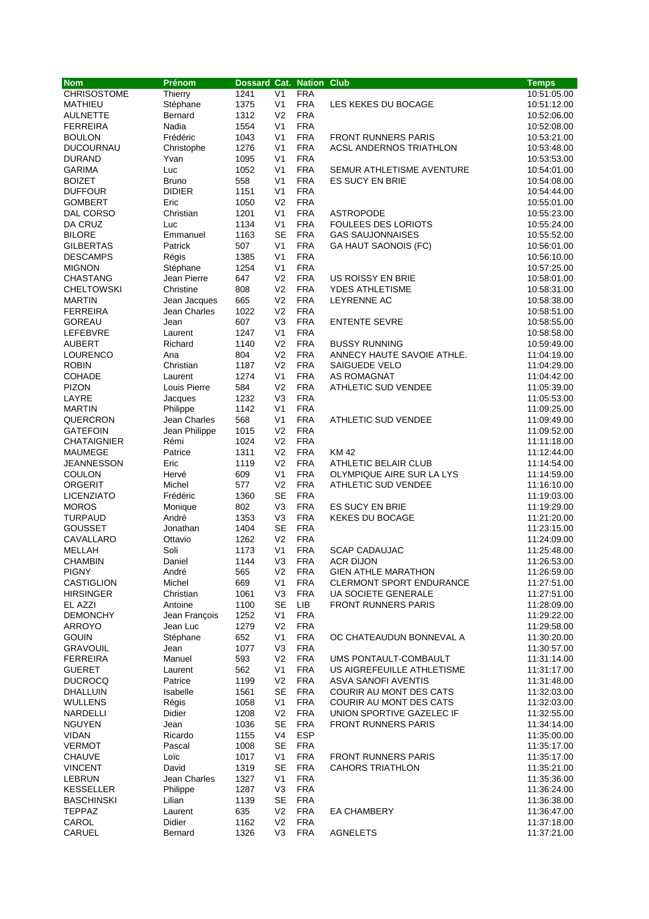| <b>Nom</b>         | Prénom        | <b>Dossard Cat. Nation Club</b> |                |            |                                 | <b>Temps</b> |
|--------------------|---------------|---------------------------------|----------------|------------|---------------------------------|--------------|
| <b>CHRISOSTOME</b> | Thierry       | 1241                            | V <sub>1</sub> | <b>FRA</b> |                                 | 10:51:05.00  |
| MATHIEU            | Stéphane      | 1375                            | V <sub>1</sub> | <b>FRA</b> | LES KEKES DU BOCAGE             | 10:51:12.00  |
| <b>AULNETTE</b>    | Bernard       | 1312                            | V <sub>2</sub> | <b>FRA</b> |                                 | 10:52:06.00  |
| <b>FERREIRA</b>    | Nadia         | 1554                            | V <sub>1</sub> | <b>FRA</b> |                                 | 10:52:08.00  |
| <b>BOULON</b>      | Frédéric      | 1043                            | V <sub>1</sub> | <b>FRA</b> | <b>FRONT RUNNERS PARIS</b>      | 10:53:21.00  |
| <b>DUCOURNAU</b>   | Christophe    | 1276                            | V <sub>1</sub> | <b>FRA</b> | <b>ACSL ANDERNOS TRIATHLON</b>  | 10:53:48.00  |
| <b>DURAND</b>      | Yvan          | 1095                            | V <sub>1</sub> | <b>FRA</b> |                                 | 10:53:53.00  |
| <b>GARIMA</b>      | Luc           | 1052                            | V <sub>1</sub> | <b>FRA</b> | SEMUR ATHLETISME AVENTURE       | 10:54:01.00  |
| <b>BOIZET</b>      | <b>Bruno</b>  | 558                             | V <sub>1</sub> | <b>FRA</b> | <b>ES SUCY EN BRIE</b>          | 10:54:08.00  |
| <b>DUFFOUR</b>     | <b>DIDIER</b> | 1151                            | V <sub>1</sub> | <b>FRA</b> |                                 | 10:54:44.00  |
| <b>GOMBERT</b>     | Eric          | 1050                            | V <sub>2</sub> | <b>FRA</b> |                                 | 10:55:01.00  |
| DAL CORSO          | Christian     | 1201                            | V <sub>1</sub> | <b>FRA</b> | <b>ASTROPODE</b>                | 10:55:23.00  |
| DA CRUZ            | Luc           | 1134                            | V <sub>1</sub> | <b>FRA</b> | <b>FOULEES DES LORIOTS</b>      | 10:55:24.00  |
| <b>BILORE</b>      | Emmanuel      | 1163                            | <b>SE</b>      | <b>FRA</b> | <b>GAS SAUJONNAISES</b>         | 10:55:52.00  |
| <b>GILBERTAS</b>   | Patrick       | 507                             | V <sub>1</sub> | <b>FRA</b> | GA HAUT SAONOIS (FC)            | 10:56:01.00  |
| <b>DESCAMPS</b>    | Régis         | 1385                            | V <sub>1</sub> | <b>FRA</b> |                                 | 10:56:10.00  |
| <b>MIGNON</b>      | Stéphane      | 1254                            | V <sub>1</sub> | <b>FRA</b> |                                 | 10:57:25.00  |
| <b>CHASTANG</b>    | Jean Pierre   | 647                             | V <sub>2</sub> | <b>FRA</b> | <b>US ROISSY EN BRIE</b>        | 10:58:01.00  |
| <b>CHELTOWSKI</b>  | Christine     | 808                             | V <sub>2</sub> | <b>FRA</b> | <b>YDES ATHLETISME</b>          | 10:58:31.00  |
| <b>MARTIN</b>      | Jean Jacques  | 665                             | V <sub>2</sub> | <b>FRA</b> | LEYRENNE AC                     | 10:58:38.00  |
| <b>FERREIRA</b>    | Jean Charles  | 1022                            | V <sub>2</sub> | <b>FRA</b> |                                 | 10:58:51.00  |
| <b>GOREAU</b>      | Jean          | 607                             | V <sub>3</sub> | <b>FRA</b> | <b>ENTENTE SEVRE</b>            | 10:58:55.00  |
| LEFEBVRE           | Laurent       | 1247                            | V <sub>1</sub> | <b>FRA</b> |                                 | 10:58:58.00  |
| <b>AUBERT</b>      | Richard       | 1140                            | V <sub>2</sub> | <b>FRA</b> | <b>BUSSY RUNNING</b>            | 10:59:49.00  |
| LOURENCO           | Ana           | 804                             | V <sub>2</sub> | <b>FRA</b> | ANNECY HAUTE SAVOIE ATHLE.      | 11:04:19.00  |
| <b>ROBIN</b>       | Christian     | 1187                            | V <sub>2</sub> | <b>FRA</b> | <b>SAIGUEDE VELO</b>            | 11:04:29.00  |
| <b>COHADE</b>      | Laurent       | 1274                            | V <sub>1</sub> | <b>FRA</b> | AS ROMAGNAT                     | 11:04:42.00  |
| <b>PIZON</b>       | Louis Pierre  | 584                             | V <sub>2</sub> | <b>FRA</b> | ATHLETIC SUD VENDEE             | 11:05:39.00  |
| LAYRE              | Jacques       | 1232                            | V <sub>3</sub> | <b>FRA</b> |                                 | 11:05:53.00  |
| <b>MARTIN</b>      | Philippe      | 1142                            | V <sub>1</sub> | <b>FRA</b> |                                 | 11:09:25.00  |
| QUERCRON           | Jean Charles  | 568                             | V <sub>1</sub> | <b>FRA</b> | <b>ATHLETIC SUD VENDEE</b>      | 11:09:49.00  |
| <b>GATEFOIN</b>    | Jean Philippe | 1015                            | V <sub>2</sub> | <b>FRA</b> |                                 | 11:09:52.00  |
| <b>CHATAIGNIER</b> | Rémi          | 1024                            | V <sub>2</sub> | <b>FRA</b> |                                 | 11:11:18.00  |
| <b>MAUMEGE</b>     | Patrice       | 1311                            | V <sub>2</sub> | <b>FRA</b> | <b>KM42</b>                     | 11:12:44.00  |
| <b>JEANNESSON</b>  | Eric          | 1119                            | V <sub>2</sub> | <b>FRA</b> | <b>ATHLETIC BELAIR CLUB</b>     | 11:14:54.00  |
| <b>COULON</b>      | Hervé         | 609                             | V <sub>1</sub> | <b>FRA</b> | OLYMPIQUE AIRE SUR LA LYS       | 11:14:59.00  |
| ORGERIT            | Michel        | 577                             | V <sub>2</sub> | <b>FRA</b> | ATHLETIC SUD VENDEE             | 11:16:10.00  |
| <b>LICENZIATO</b>  | Frédéric      | 1360                            | <b>SE</b>      | <b>FRA</b> |                                 | 11:19:03.00  |
| <b>MOROS</b>       | Monique       | 802                             | V3             | <b>FRA</b> | <b>ES SUCY EN BRIE</b>          | 11:19:29.00  |
| <b>TURPAUD</b>     | André         | 1353                            | V3             | <b>FRA</b> | <b>KEKES DU BOCAGE</b>          | 11:21:20.00  |
| <b>GOUSSET</b>     | Jonathan      | 1404                            | <b>SE</b>      | <b>FRA</b> |                                 | 11:23:15.00  |
| CAVALLARO          | Ottavio       | 1262                            | V <sub>2</sub> | <b>FRA</b> |                                 | 11:24:09.00  |
| MELLAH             | Soli          | 1173                            | V <sub>1</sub> | <b>FRA</b> | <b>SCAP CADAUJAC</b>            | 11:25:48.00  |
| <b>CHAMBIN</b>     | Daniel        | 1144                            | V <sub>3</sub> | <b>FRA</b> | <b>ACR DIJON</b>                | 11:26:53.00  |
| <b>PIGNY</b>       | André         | 565                             | V <sub>2</sub> | <b>FRA</b> | <b>GIEN ATHLE MARATHON</b>      | 11:26:59.00  |
| CASTIGLION         | Michel        | 669                             | V <sub>1</sub> | <b>FRA</b> | <b>CLERMONT SPORT ENDURANCE</b> | 11:27:51.00  |
| <b>HIRSINGER</b>   | Christian     | 1061                            | V <sub>3</sub> | <b>FRA</b> | UA SOCIETE GENERALE             | 11:27:51.00  |
| EL AZZI            | Antoine       | 1100                            | SE             | LIB        | <b>FRONT RUNNERS PARIS</b>      | 11:28:09.00  |
| <b>DEMONCHY</b>    | Jean François | 1252                            | V <sub>1</sub> | <b>FRA</b> |                                 | 11:29:22.00  |
| <b>ARROYO</b>      | Jean Luc      | 1279                            | V <sub>2</sub> | <b>FRA</b> |                                 | 11:29:58.00  |
| <b>GOUIN</b>       | Stéphane      | 652                             | V <sub>1</sub> | <b>FRA</b> | OC CHATEAUDUN BONNEVAL A        | 11:30:20.00  |
| <b>GRAVOUIL</b>    | Jean          | 1077                            | V <sub>3</sub> | <b>FRA</b> |                                 | 11:30:57.00  |
| <b>FERREIRA</b>    | Manuel        | 593                             | V <sub>2</sub> | <b>FRA</b> | UMS PONTAULT-COMBAULT           | 11:31:14.00  |
| <b>GUERET</b>      | Laurent       | 562                             | V <sub>1</sub> | <b>FRA</b> | US AIGREFEUILLE ATHLETISME      | 11:31:17.00  |
| <b>DUCROCQ</b>     | Patrice       | 1199                            | V <sub>2</sub> | <b>FRA</b> | <b>ASVA SANOFI AVENTIS</b>      | 11:31:48.00  |
| <b>DHALLUIN</b>    | Isabelle      | 1561                            | <b>SE</b>      | <b>FRA</b> | COURIR AU MONT DES CATS         | 11:32:03.00  |
| WULLENS            | Régis         | 1058                            | V <sub>1</sub> | <b>FRA</b> | COURIR AU MONT DES CATS         | 11:32:03.00  |
| NARDELLI           | Didier        | 1208                            | V <sub>2</sub> | <b>FRA</b> | UNION SPORTIVE GAZELEC IF       | 11:32:55.00  |
| <b>NGUYEN</b>      | Jean          | 1036                            | <b>SE</b>      | <b>FRA</b> | <b>FRONT RUNNERS PARIS</b>      | 11:34:14.00  |
| <b>VIDAN</b>       | Ricardo       | 1155                            | V4             | <b>ESP</b> |                                 | 11:35:00.00  |
| <b>VERMOT</b>      | Pascal        | 1008                            | <b>SE</b>      | <b>FRA</b> |                                 | 11:35:17.00  |
| <b>CHAUVE</b>      | Loïc          | 1017                            | V <sub>1</sub> | <b>FRA</b> | <b>FRONT RUNNERS PARIS</b>      | 11:35:17.00  |
| <b>VINCENT</b>     | David         | 1319                            | SE             | <b>FRA</b> | <b>CAHORS TRIATHLON</b>         | 11:35:21.00  |
| <b>LEBRUN</b>      | Jean Charles  | 1327                            | V <sub>1</sub> | <b>FRA</b> |                                 | 11:35:36.00  |
| KESSELLER          | Philippe      | 1287                            | V <sub>3</sub> | <b>FRA</b> |                                 | 11:36:24.00  |
| <b>BASCHINSKI</b>  | Lilian        | 1139                            | <b>SE</b>      | <b>FRA</b> |                                 | 11:36:38.00  |
| <b>TEPPAZ</b>      | Laurent       | 635                             | V <sub>2</sub> | <b>FRA</b> | <b>EA CHAMBERY</b>              | 11:36:47.00  |
| CAROL              | Didier        | 1162                            | V <sub>2</sub> | <b>FRA</b> |                                 | 11:37:18.00  |
| CARUEL             | Bernard       | 1326                            | V3             | <b>FRA</b> | <b>AGNELETS</b>                 | 11:37:21.00  |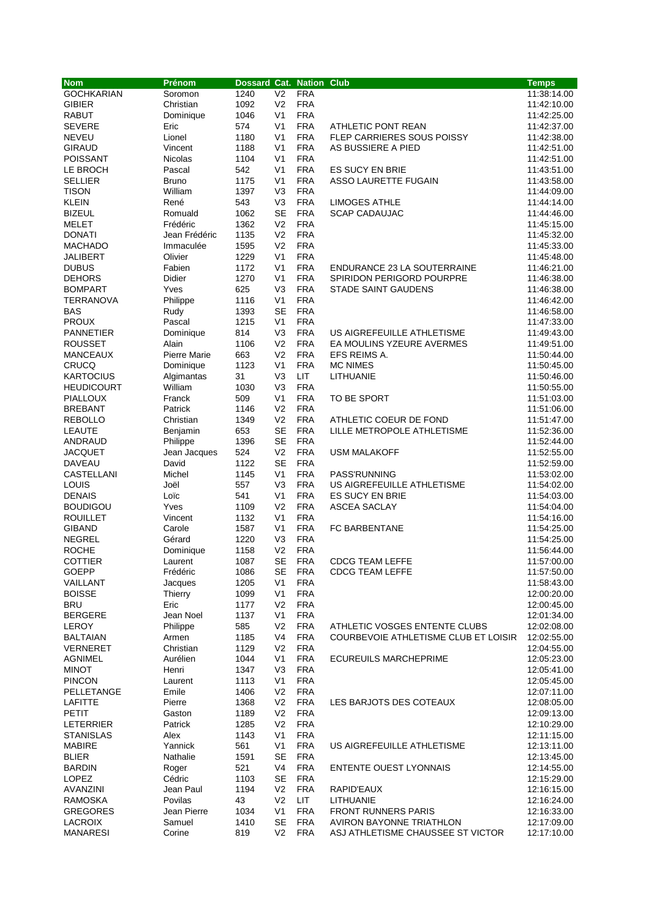| <b>Nom</b>        | Prénom         | Dossard Cat. Nation Club |                |            |                                      | <b>Temps</b> |
|-------------------|----------------|--------------------------|----------------|------------|--------------------------------------|--------------|
| <b>GOCHKARIAN</b> | Soromon        | 1240                     | V <sub>2</sub> | <b>FRA</b> |                                      | 11:38:14.00  |
| <b>GIBIER</b>     | Christian      | 1092                     | V <sub>2</sub> | <b>FRA</b> |                                      | 11:42:10.00  |
| <b>RABUT</b>      | Dominique      | 1046                     | V <sub>1</sub> | <b>FRA</b> |                                      | 11:42:25.00  |
| <b>SEVERE</b>     | Eric           | 574                      | V <sub>1</sub> | <b>FRA</b> | ATHLETIC PONT REAN                   | 11:42:37.00  |
| <b>NEVEU</b>      | Lionel         | 1180                     | V <sub>1</sub> | <b>FRA</b> | FLEP CARRIERES SOUS POISSY           | 11:42:38.00  |
| <b>GIRAUD</b>     | Vincent        | 1188                     | V <sub>1</sub> | <b>FRA</b> | AS BUSSIERE A PIED                   | 11:42:51.00  |
| <b>POISSANT</b>   | <b>Nicolas</b> | 1104                     | V <sub>1</sub> | <b>FRA</b> |                                      | 11:42:51.00  |
| LE BROCH          | Pascal         | 542                      | V <sub>1</sub> | <b>FRA</b> | <b>ES SUCY EN BRIE</b>               | 11:43:51.00  |
| <b>SELLIER</b>    | Bruno          | 1175                     | V <sub>1</sub> | <b>FRA</b> | ASSO LAURETTE FUGAIN                 | 11:43:58.00  |
| <b>TISON</b>      | William        | 1397                     | V <sub>3</sub> | <b>FRA</b> |                                      | 11:44:09.00  |
| KLEIN             | René           | 543                      | V3             | <b>FRA</b> | <b>LIMOGES ATHLE</b>                 | 11:44:14.00  |
| <b>BIZEUL</b>     | Romuald        | 1062                     | <b>SE</b>      | <b>FRA</b> | SCAP CADAUJAC                        | 11:44:46.00  |
| <b>MELET</b>      | Frédéric       | 1362                     | V <sub>2</sub> | <b>FRA</b> |                                      | 11:45:15.00  |
| <b>DONATI</b>     | Jean Frédéric  | 1135                     | V <sub>2</sub> | <b>FRA</b> |                                      | 11:45:32.00  |
| <b>MACHADO</b>    | Immaculée      | 1595                     | V <sub>2</sub> | <b>FRA</b> |                                      | 11:45:33.00  |
| JALIBERT          | Olivier        | 1229                     | V <sub>1</sub> | <b>FRA</b> |                                      | 11:45:48.00  |
| <b>DUBUS</b>      | Fabien         | 1172                     | V <sub>1</sub> | <b>FRA</b> | ENDURANCE 23 LA SOUTERRAINE          | 11:46:21.00  |
| <b>DEHORS</b>     | Didier         | 1270                     | V <sub>1</sub> | <b>FRA</b> | SPIRIDON PERIGORD POURPRE            | 11:46:38.00  |
| <b>BOMPART</b>    | Yves           | 625                      | V <sub>3</sub> | <b>FRA</b> | <b>STADE SAINT GAUDENS</b>           | 11:46:38.00  |
| <b>TERRANOVA</b>  | Philippe       | 1116                     | V <sub>1</sub> | <b>FRA</b> |                                      | 11:46:42.00  |
| <b>BAS</b>        | Rudy           | 1393                     | <b>SE</b>      | <b>FRA</b> |                                      | 11:46:58.00  |
| <b>PROUX</b>      | Pascal         | 1215                     | V <sub>1</sub> | <b>FRA</b> |                                      | 11:47:33.00  |
| <b>PANNETIER</b>  | Dominique      | 814                      | V3             | <b>FRA</b> | US AIGREFEUILLE ATHLETISME           | 11:49:43.00  |
| <b>ROUSSET</b>    | Alain          | 1106                     | V <sub>2</sub> | <b>FRA</b> | EA MOULINS YZEURE AVERMES            | 11:49:51.00  |
| <b>MANCEAUX</b>   | Pierre Marie   | 663                      | V <sub>2</sub> | <b>FRA</b> | EFS REIMS A.                         | 11:50:44.00  |
| CRUCQ             | Dominique      | 1123                     | V <sub>1</sub> | <b>FRA</b> | <b>MC NIMES</b>                      | 11:50:45.00  |
| <b>KARTOCIUS</b>  | Algimantas     | 31                       | V <sub>3</sub> | <b>LIT</b> | LITHUANIE                            | 11:50:46.00  |
| <b>HEUDICOURT</b> | William        | 1030                     | V <sub>3</sub> | <b>FRA</b> |                                      | 11:50:55.00  |
| <b>PIALLOUX</b>   | Franck         | 509                      | V <sub>1</sub> | <b>FRA</b> | TO BE SPORT                          | 11:51:03.00  |
| <b>BREBANT</b>    | Patrick        | 1146                     | V <sub>2</sub> | <b>FRA</b> |                                      | 11:51:06.00  |
| <b>REBOLLO</b>    | Christian      | 1349                     | V <sub>2</sub> | <b>FRA</b> | ATHLETIC COEUR DE FOND               | 11:51:47.00  |
| LEAUTE            | Benjamin       | 653                      | <b>SE</b>      | <b>FRA</b> | LILLE METROPOLE ATHLETISME           | 11:52:36.00  |
| ANDRAUD           | Philippe       | 1396                     | <b>SE</b>      | <b>FRA</b> |                                      | 11:52:44.00  |
| <b>JACQUET</b>    | Jean Jacques   | 524                      | V <sub>2</sub> | <b>FRA</b> | <b>USM MALAKOFF</b>                  | 11:52:55.00  |
| DAVEAU            | David          | 1122                     | <b>SE</b>      | <b>FRA</b> |                                      | 11:52:59.00  |
| CASTELLANI        | Michel         | 1145                     | V <sub>1</sub> | <b>FRA</b> | PASS'RUNNING                         | 11:53:02.00  |
| LOUIS             | Joël           | 557                      | V <sub>3</sub> | <b>FRA</b> | US AIGREFEUILLE ATHLETISME           | 11:54:02.00  |
| <b>DENAIS</b>     | Loïc           | 541                      | V <sub>1</sub> | <b>FRA</b> | ES SUCY EN BRIE                      | 11:54:03.00  |
| <b>BOUDIGOU</b>   | Yves           | 1109                     | V <sub>2</sub> | <b>FRA</b> | <b>ASCEA SACLAY</b>                  | 11:54:04.00  |
| <b>ROUILLET</b>   | Vincent        | 1132                     | V <sub>1</sub> | <b>FRA</b> |                                      | 11:54:16.00  |
| <b>GIBAND</b>     | Carole         | 1587                     | V <sub>1</sub> | <b>FRA</b> | FC BARBENTANE                        | 11:54:25.00  |
| <b>NEGREL</b>     | Gérard         | 1220                     | V <sub>3</sub> | <b>FRA</b> |                                      | 11:54:25.00  |
| <b>ROCHE</b>      | Dominique      | 1158                     | V <sub>2</sub> | <b>FRA</b> |                                      | 11:56:44.00  |
| COTTIER           | Laurent        | 1087                     | <b>SE</b>      | <b>FRA</b> | <b>CDCG TEAM LEFFE</b>               | 11:57:00.00  |
| <b>GOEPP</b>      | Frédéric       | 1086                     | SE             | <b>FRA</b> | <b>CDCG TEAM LEFFE</b>               | 11:57:50.00  |
| VAILLANT          | Jacques        | 1205                     | V <sub>1</sub> | <b>FRA</b> |                                      | 11:58:43.00  |
| <b>BOISSE</b>     | Thierry        | 1099                     | V <sub>1</sub> | <b>FRA</b> |                                      | 12:00:20.00  |
| <b>BRU</b>        | Eric           | 1177                     | V <sub>2</sub> | <b>FRA</b> |                                      | 12:00:45.00  |
| <b>BERGERE</b>    | Jean Noel      | 1137                     | V <sub>1</sub> | <b>FRA</b> |                                      | 12:01:34.00  |
| LEROY             | Philippe       | 585                      | V <sub>2</sub> | <b>FRA</b> | ATHLETIC VOSGES ENTENTE CLUBS        | 12:02:08.00  |
| <b>BALTAIAN</b>   | Armen          | 1185                     | V4             | <b>FRA</b> | COURBEVOIE ATHLETISME CLUB ET LOISIR | 12:02:55.00  |
| <b>VERNERET</b>   | Christian      | 1129                     | V <sub>2</sub> | <b>FRA</b> |                                      | 12:04:55.00  |
| <b>AGNIMEL</b>    | Aurélien       | 1044                     | V <sub>1</sub> | <b>FRA</b> | ECUREUILS MARCHEPRIME                | 12:05:23.00  |
| <b>MINOT</b>      | Henri          | 1347                     | V <sub>3</sub> | <b>FRA</b> |                                      | 12:05:41.00  |
| <b>PINCON</b>     | Laurent        | 1113                     | V <sub>1</sub> | <b>FRA</b> |                                      | 12:05:45.00  |
| PELLETANGE        | Emile          | 1406                     | V <sub>2</sub> | <b>FRA</b> |                                      | 12:07:11.00  |
| <b>LAFITTE</b>    | Pierre         | 1368                     | V <sub>2</sub> | <b>FRA</b> | LES BARJOTS DES COTEAUX              | 12:08:05.00  |
| <b>PETIT</b>      | Gaston         | 1189                     | V <sub>2</sub> | <b>FRA</b> |                                      | 12:09:13.00  |
| <b>LETERRIER</b>  | Patrick        | 1285                     | V <sub>2</sub> | <b>FRA</b> |                                      | 12:10:29.00  |
| <b>STANISLAS</b>  | Alex           | 1143                     | V <sub>1</sub> | <b>FRA</b> |                                      | 12:11:15.00  |
| <b>MABIRE</b>     | Yannick        | 561                      | V <sub>1</sub> | <b>FRA</b> | US AIGREFEUILLE ATHLETISME           | 12:13:11.00  |
| <b>BLIER</b>      | Nathalie       | 1591                     | <b>SE</b>      | <b>FRA</b> |                                      | 12:13:45.00  |
| <b>BARDIN</b>     | Roger          | 521                      | V4             | <b>FRA</b> | <b>ENTENTE OUEST LYONNAIS</b>        | 12:14:55.00  |
| LOPEZ             | Cédric         | 1103                     | <b>SE</b>      | <b>FRA</b> |                                      | 12:15:29.00  |
| AVANZINI          | Jean Paul      | 1194                     | V <sub>2</sub> | <b>FRA</b> | RAPID'EAUX                           | 12:16:15.00  |
| <b>RAMOSKA</b>    | Povilas        | 43                       | V <sub>2</sub> | LIT        | LITHUANIE                            | 12:16:24.00  |
| <b>GREGORES</b>   | Jean Pierre    | 1034                     | V <sub>1</sub> | <b>FRA</b> | <b>FRONT RUNNERS PARIS</b>           | 12:16:33.00  |
| <b>LACROIX</b>    | Samuel         | 1410                     | <b>SE</b>      | <b>FRA</b> | AVIRON BAYONNE TRIATHLON             | 12:17:09.00  |
| <b>MANARESI</b>   | Corine         | 819                      | V <sub>2</sub> | <b>FRA</b> | ASJ ATHLETISME CHAUSSEE ST VICTOR    | 12:17:10.00  |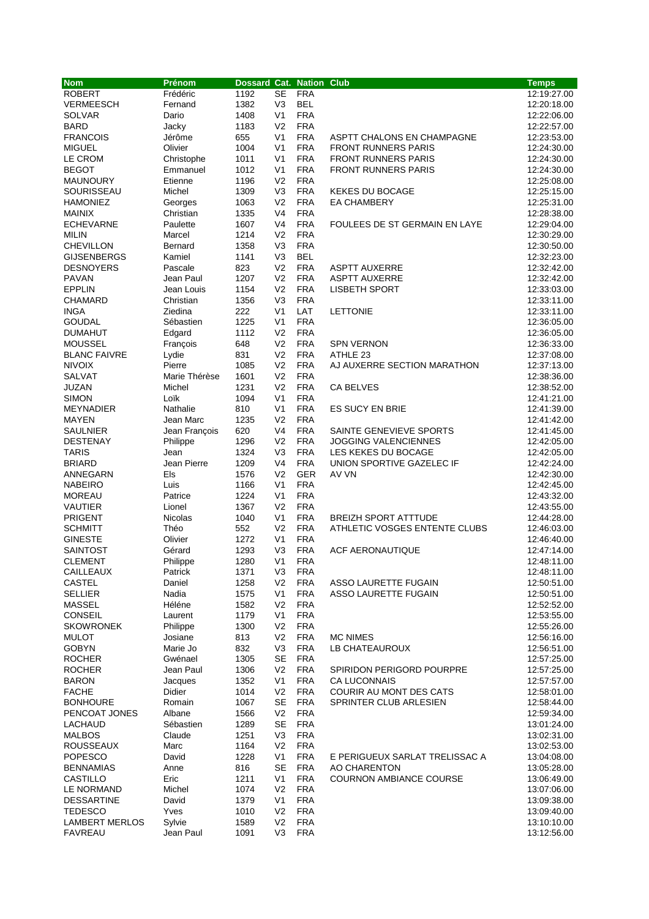| <b>Nom</b>                          | Prénom              | Dossard Cat. Nation Club |                                  |                          |                                | <b>Temps</b>               |
|-------------------------------------|---------------------|--------------------------|----------------------------------|--------------------------|--------------------------------|----------------------------|
| <b>ROBERT</b>                       | Frédéric            | 1192                     | SE                               | <b>FRA</b>               |                                | 12:19:27.00                |
| <b>VERMEESCH</b>                    | Fernand             | 1382                     | V <sub>3</sub>                   | <b>BEL</b>               |                                | 12:20:18.00                |
| <b>SOLVAR</b>                       | Dario               | 1408                     | V <sub>1</sub>                   | <b>FRA</b>               |                                | 12:22:06.00                |
| <b>BARD</b>                         | Jacky               | 1183                     | V <sub>2</sub>                   | <b>FRA</b>               |                                | 12:22:57.00                |
| <b>FRANCOIS</b>                     | Jérôme              | 655                      | V <sub>1</sub>                   | <b>FRA</b>               | ASPTT CHALONS EN CHAMPAGNE     | 12:23:53.00                |
| <b>MIGUEL</b>                       | Olivier             | 1004                     | V <sub>1</sub>                   | <b>FRA</b>               | <b>FRONT RUNNERS PARIS</b>     | 12:24:30.00                |
| LE CROM                             | Christophe          | 1011                     | V <sub>1</sub>                   | <b>FRA</b>               | <b>FRONT RUNNERS PARIS</b>     | 12:24:30.00                |
| <b>BEGOT</b><br><b>MAUNOURY</b>     | Emmanuel<br>Etienne | 1012<br>1196             | V <sub>1</sub><br>V <sub>2</sub> | <b>FRA</b><br><b>FRA</b> | <b>FRONT RUNNERS PARIS</b>     | 12:24:30.00                |
| SOURISSEAU                          | Michel              | 1309                     | V <sub>3</sub>                   | <b>FRA</b>               | <b>KEKES DU BOCAGE</b>         | 12:25:08.00<br>12:25:15.00 |
| <b>HAMONIEZ</b>                     | Georges             | 1063                     | V <sub>2</sub>                   | <b>FRA</b>               | <b>EA CHAMBERY</b>             | 12:25:31.00                |
| <b>MAINIX</b>                       | Christian           | 1335                     | V <sub>4</sub>                   | <b>FRA</b>               |                                | 12:28:38.00                |
| <b>ECHEVARNE</b>                    | Paulette            | 1607                     | V <sub>4</sub>                   | <b>FRA</b>               | FOULEES DE ST GERMAIN EN LAYE  | 12:29:04.00                |
| <b>MILIN</b>                        | Marcel              | 1214                     | V <sub>2</sub>                   | <b>FRA</b>               |                                | 12:30:29.00                |
| <b>CHEVILLON</b>                    | Bernard             | 1358                     | V <sub>3</sub>                   | <b>FRA</b>               |                                | 12:30:50.00                |
| <b>GIJSENBERGS</b>                  | Kamiel              | 1141                     | V <sub>3</sub>                   | <b>BEL</b>               |                                | 12:32:23.00                |
| <b>DESNOYERS</b>                    | Pascale             | 823                      | V <sub>2</sub>                   | <b>FRA</b>               | <b>ASPTT AUXERRE</b>           | 12:32:42.00                |
| <b>PAVAN</b>                        | Jean Paul           | 1207                     | V <sub>2</sub>                   | <b>FRA</b>               | <b>ASPTT AUXERRE</b>           | 12:32:42.00                |
| <b>EPPLIN</b>                       | Jean Louis          | 1154                     | V <sub>2</sub>                   | <b>FRA</b>               | <b>LISBETH SPORT</b>           | 12:33:03.00                |
| <b>CHAMARD</b>                      | Christian           | 1356                     | V <sub>3</sub>                   | <b>FRA</b>               |                                | 12:33:11.00                |
| <b>INGA</b>                         | Ziedina             | 222                      | V <sub>1</sub>                   | LAT                      | <b>LETTONIE</b>                | 12:33:11.00                |
| <b>GOUDAL</b>                       | Sébastien           | 1225                     | V <sub>1</sub>                   | <b>FRA</b>               |                                | 12:36:05.00                |
| <b>DUMAHUT</b>                      | Edgard              | 1112                     | V <sub>2</sub>                   | <b>FRA</b>               |                                | 12:36:05.00                |
| <b>MOUSSEL</b>                      | François            | 648                      | V <sub>2</sub>                   | <b>FRA</b>               | <b>SPN VERNON</b>              | 12:36:33.00                |
| <b>BLANC FAIVRE</b>                 | Lydie               | 831                      | V <sub>2</sub>                   | <b>FRA</b>               | ATHLE 23                       | 12:37:08.00                |
| <b>NIVOIX</b>                       | Pierre              | 1085                     | V <sub>2</sub>                   | <b>FRA</b>               | AJ AUXERRE SECTION MARATHON    | 12:37:13.00                |
| <b>SALVAT</b>                       | Marie Thérèse       | 1601                     | V <sub>2</sub><br>V <sub>2</sub> | <b>FRA</b><br><b>FRA</b> |                                | 12:38:36.00                |
| JUZAN<br><b>SIMON</b>               | Michel<br>Loïk      | 1231<br>1094             | V <sub>1</sub>                   | <b>FRA</b>               | CA BELVES                      | 12:38:52.00<br>12:41:21.00 |
| <b>MEYNADIER</b>                    | Nathalie            | 810                      | V <sub>1</sub>                   | <b>FRA</b>               | <b>ES SUCY EN BRIE</b>         | 12:41:39.00                |
| MAYEN                               | Jean Marc           | 1235                     | V <sub>2</sub>                   | <b>FRA</b>               |                                | 12:41:42.00                |
| SAULNIER                            | Jean François       | 620                      | V <sub>4</sub>                   | <b>FRA</b>               | SAINTE GENEVIEVE SPORTS        | 12:41:45.00                |
| <b>DESTENAY</b>                     | Philippe            | 1296                     | V <sub>2</sub>                   | <b>FRA</b>               | <b>JOGGING VALENCIENNES</b>    | 12:42:05.00                |
| <b>TARIS</b>                        | Jean                | 1324                     | V <sub>3</sub>                   | <b>FRA</b>               | LES KEKES DU BOCAGE            | 12:42:05.00                |
| <b>BRIARD</b>                       | Jean Pierre         | 1209                     | V <sub>4</sub>                   | <b>FRA</b>               | UNION SPORTIVE GAZELEC IF      | 12:42:24.00                |
| ANNEGARN                            | Els                 | 1576                     | V <sub>2</sub>                   | <b>GER</b>               | AV VN                          | 12:42:30.00                |
| <b>NABEIRO</b>                      | Luis                | 1166                     | V <sub>1</sub>                   | <b>FRA</b>               |                                | 12:42:45.00                |
| <b>MOREAU</b>                       | Patrice             | 1224                     | V <sub>1</sub>                   | <b>FRA</b>               |                                | 12:43:32.00                |
| <b>VAUTIER</b>                      | Lionel              | 1367                     | V <sub>2</sub>                   | <b>FRA</b>               |                                | 12:43:55.00                |
| <b>PRIGENT</b>                      | <b>Nicolas</b>      | 1040                     | V <sub>1</sub>                   | <b>FRA</b>               | <b>BREIZH SPORT ATTTUDE</b>    | 12:44:28.00                |
| <b>SCHMITT</b>                      | Théo                | 552                      | V <sub>2</sub>                   | <b>FRA</b>               | ATHLETIC VOSGES ENTENTE CLUBS  | 12:46:03.00                |
| <b>GINESTE</b>                      | Olivier             | 1272                     | V <sub>1</sub>                   | <b>FRA</b>               |                                | 12:46:40.00                |
| SAINTOST                            | Gérard              | 1293                     | V <sub>3</sub>                   | <b>FRA</b>               | <b>ACF AERONAUTIQUE</b>        | 12:47:14.00                |
| <b>CLEMENT</b>                      | Philippe            | 1280                     | V <sub>1</sub>                   | <b>FRA</b>               |                                | 12:48:11.00                |
| CAILLEAUX<br><b>CASTEL</b>          | Patrick             | 1371<br>1258             | V3<br>V <sub>2</sub>             | <b>FRA</b><br><b>FRA</b> | ASSO LAURETTE FUGAIN           | 12:48:11.00<br>12:50:51.00 |
| <b>SELLIER</b>                      | Daniel<br>Nadia     | 1575                     | V <sub>1</sub>                   | <b>FRA</b>               | ASSO LAURETTE FUGAIN           | 12:50:51.00                |
| MASSEL                              | Héléne              | 1582                     | V <sub>2</sub>                   | <b>FRA</b>               |                                | 12:52:52.00                |
| <b>CONSEIL</b>                      | Laurent             | 1179                     | V <sub>1</sub>                   | <b>FRA</b>               |                                | 12:53:55.00                |
| <b>SKOWRONEK</b>                    | Philippe            | 1300                     | V <sub>2</sub>                   | <b>FRA</b>               |                                | 12:55:26.00                |
| <b>MULOT</b>                        | Josiane             | 813                      | V <sub>2</sub>                   | <b>FRA</b>               | <b>MC NIMES</b>                | 12:56:16.00                |
| <b>GOBYN</b>                        | Marie Jo            | 832                      | V3                               | <b>FRA</b>               | LB CHATEAUROUX                 | 12:56:51.00                |
| <b>ROCHER</b>                       | Gwénael             | 1305                     | SE                               | <b>FRA</b>               |                                | 12:57:25.00                |
| <b>ROCHER</b>                       | Jean Paul           | 1306                     | V <sub>2</sub>                   | <b>FRA</b>               | SPIRIDON PERIGORD POURPRE      | 12:57:25.00                |
| <b>BARON</b>                        | Jacques             | 1352                     | V <sub>1</sub>                   | <b>FRA</b>               | <b>CA LUCONNAIS</b>            | 12:57:57.00                |
| <b>FACHE</b>                        | Didier              | 1014                     | V <sub>2</sub>                   | <b>FRA</b>               | <b>COURIR AU MONT DES CATS</b> | 12:58:01.00                |
| <b>BONHOURE</b>                     | Romain              | 1067                     | SE                               | <b>FRA</b>               | SPRINTER CLUB ARLESIEN         | 12:58:44.00                |
| PENCOAT JONES                       | Albane              | 1566                     | V <sub>2</sub>                   | <b>FRA</b>               |                                | 12:59:34.00                |
| <b>LACHAUD</b>                      | Sébastien           | 1289                     | <b>SE</b>                        | <b>FRA</b>               |                                | 13:01:24.00                |
| <b>MALBOS</b>                       | Claude              | 1251                     | V3                               | <b>FRA</b>               |                                | 13:02:31.00                |
| <b>ROUSSEAUX</b>                    | Marc                | 1164                     | V <sub>2</sub>                   | <b>FRA</b>               |                                | 13:02:53.00                |
| <b>POPESCO</b>                      | David               | 1228                     | V <sub>1</sub>                   | <b>FRA</b>               | E PERIGUEUX SARLAT TRELISSAC A | 13:04:08.00                |
| <b>BENNAMIAS</b>                    | Anne                | 816                      | SE                               | <b>FRA</b>               | AO CHARENTON                   | 13:05:28.00                |
| CASTILLO                            | Eric                | 1211                     | V <sub>1</sub>                   | <b>FRA</b>               | <b>COURNON AMBIANCE COURSE</b> | 13:06:49.00                |
| LE NORMAND                          | Michel              | 1074                     | V <sub>2</sub>                   | <b>FRA</b><br><b>FRA</b> |                                | 13:07:06.00                |
| <b>DESSARTINE</b><br><b>TEDESCO</b> | David<br>Yves       | 1379<br>1010             | V <sub>1</sub><br>V <sub>2</sub> | <b>FRA</b>               |                                | 13:09:38.00<br>13:09:40.00 |
| <b>LAMBERT MERLOS</b>               | Sylvie              | 1589                     | V <sub>2</sub>                   | <b>FRA</b>               |                                | 13:10:10.00                |
| <b>FAVREAU</b>                      | Jean Paul           | 1091                     | V3                               | <b>FRA</b>               |                                | 13:12:56.00                |
|                                     |                     |                          |                                  |                          |                                |                            |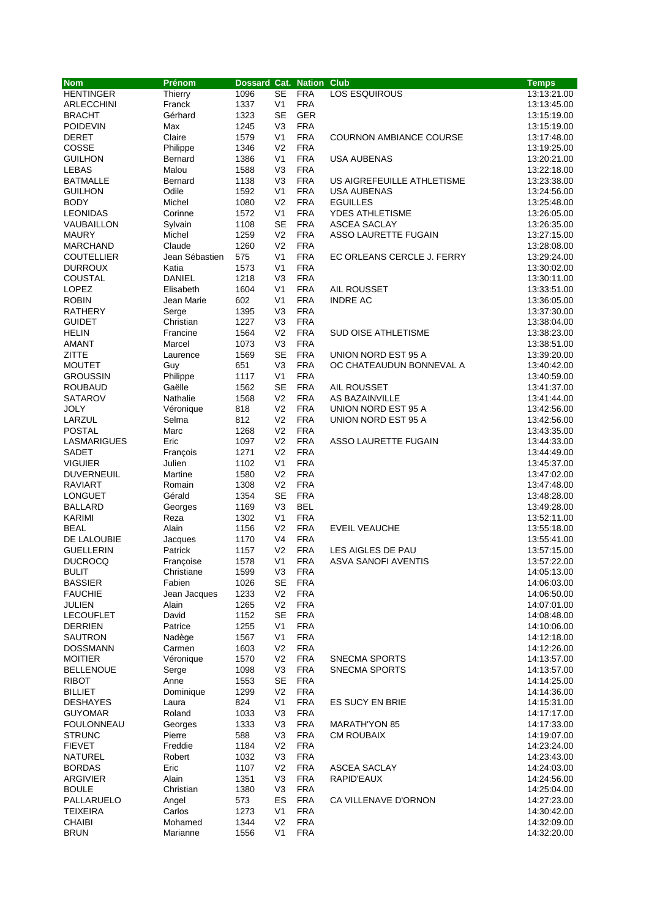| <b>Nom</b>        | Prénom         | Dossard Cat. Nation Club |                |            |                                | <b>Temps</b> |
|-------------------|----------------|--------------------------|----------------|------------|--------------------------------|--------------|
| <b>HENTINGER</b>  | Thierry        | 1096                     | <b>SE</b>      | <b>FRA</b> | LOS ESQUIROUS                  | 13:13:21.00  |
| ARLECCHINI        | Franck         | 1337                     | V <sub>1</sub> | <b>FRA</b> |                                | 13:13:45.00  |
| <b>BRACHT</b>     | Gérhard        | 1323                     | <b>SE</b>      | <b>GER</b> |                                | 13:15:19.00  |
| <b>POIDEVIN</b>   | Max            | 1245                     | V <sub>3</sub> | <b>FRA</b> |                                | 13:15:19.00  |
| DERET             | Claire         | 1579                     | V <sub>1</sub> | <b>FRA</b> | <b>COURNON AMBIANCE COURSE</b> | 13:17:48.00  |
| COSSE             | Philippe       | 1346                     | V <sub>2</sub> | <b>FRA</b> |                                | 13:19:25.00  |
| <b>GUILHON</b>    | Bernard        | 1386                     | V <sub>1</sub> | <b>FRA</b> | <b>USA AUBENAS</b>             | 13:20:21.00  |
| LEBAS             | Malou          | 1588                     | V <sub>3</sub> | <b>FRA</b> |                                | 13:22:18.00  |
| <b>BATMALLE</b>   | Bernard        | 1138                     | V <sub>3</sub> | <b>FRA</b> | US AIGREFEUILLE ATHLETISME     | 13:23:38.00  |
| <b>GUILHON</b>    | Odile          | 1592                     | V <sub>1</sub> | <b>FRA</b> | <b>USA AUBENAS</b>             | 13:24:56.00  |
| <b>BODY</b>       | Michel         | 1080                     | V <sub>2</sub> | <b>FRA</b> | <b>EGUILLES</b>                | 13:25:48.00  |
| <b>LEONIDAS</b>   | Corinne        | 1572                     | V <sub>1</sub> | <b>FRA</b> | <b>YDES ATHLETISME</b>         | 13:26:05.00  |
| VAUBAILLON        | Sylvain        | 1108                     | <b>SE</b>      | <b>FRA</b> | <b>ASCEA SACLAY</b>            | 13:26:35.00  |
| <b>MAURY</b>      | Michel         | 1259                     | V <sub>2</sub> | <b>FRA</b> | ASSO LAURETTE FUGAIN           | 13:27:15.00  |
| <b>MARCHAND</b>   | Claude         | 1260                     | V <sub>2</sub> | <b>FRA</b> |                                | 13:28:08.00  |
| <b>COUTELLIER</b> | Jean Sébastien | 575                      | V <sub>1</sub> | <b>FRA</b> | EC ORLEANS CERCLE J. FERRY     | 13:29:24.00  |
| <b>DURROUX</b>    | Katia          | 1573                     | V <sub>1</sub> | <b>FRA</b> |                                | 13:30:02.00  |
| COUSTAL           | <b>DANIEL</b>  | 1218                     | V <sub>3</sub> | <b>FRA</b> |                                | 13:30:11.00  |
| <b>LOPEZ</b>      | Elisabeth      | 1604                     | V <sub>1</sub> | <b>FRA</b> | AIL ROUSSET                    | 13:33:51.00  |
| <b>ROBIN</b>      | Jean Marie     | 602                      | V <sub>1</sub> | <b>FRA</b> | <b>INDRE AC</b>                | 13:36:05.00  |
| <b>RATHERY</b>    | Serge          | 1395                     | V <sub>3</sub> | <b>FRA</b> |                                | 13:37:30.00  |
| <b>GUIDET</b>     | Christian      | 1227                     | V3             | <b>FRA</b> |                                | 13:38:04.00  |
| HELIN             | Francine       | 1564                     | V <sub>2</sub> | <b>FRA</b> | SUD OISE ATHLETISME            | 13:38:23.00  |
| AMANT             | Marcel         | 1073                     | V <sub>3</sub> | <b>FRA</b> |                                | 13:38:51.00  |
| ZITTE             | Laurence       | 1569                     | <b>SE</b>      | <b>FRA</b> | UNION NORD EST 95 A            | 13:39:20.00  |
| <b>MOUTET</b>     | Guy            | 651                      | V <sub>3</sub> | <b>FRA</b> | OC CHATEAUDUN BONNEVAL A       | 13:40:42.00  |
| <b>GROUSSIN</b>   | Philippe       | 1117                     | V <sub>1</sub> | <b>FRA</b> |                                | 13:40:59.00  |
| <b>ROUBAUD</b>    | Gaëlle         | 1562                     | <b>SE</b>      | <b>FRA</b> | AIL ROUSSET                    | 13:41:37.00  |
| <b>SATAROV</b>    | Nathalie       | 1568                     | V <sub>2</sub> | <b>FRA</b> | AS BAZAINVILLE                 | 13:41:44.00  |
| <b>JOLY</b>       | Véronique      | 818                      | V <sub>2</sub> | <b>FRA</b> | UNION NORD EST 95 A            | 13:42:56.00  |
| LARZUL            | Selma          | 812                      | V <sub>2</sub> | <b>FRA</b> | UNION NORD EST 95 A            | 13:42:56.00  |
| <b>POSTAL</b>     | Marc           | 1268                     | V <sub>2</sub> | <b>FRA</b> |                                | 13:43:35.00  |
| LASMARIGUES       | Eric           | 1097                     | V <sub>2</sub> | <b>FRA</b> | ASSO LAURETTE FUGAIN           | 13:44:33.00  |
| SADET             | François       | 1271                     | V <sub>2</sub> | <b>FRA</b> |                                | 13:44:49.00  |
| <b>VIGUIER</b>    | Julien         | 1102                     | V <sub>1</sub> | <b>FRA</b> |                                | 13:45:37.00  |
| <b>DUVERNEUIL</b> | Martine        | 1580                     | V <sub>2</sub> | <b>FRA</b> |                                | 13:47:02.00  |
| <b>RAVIART</b>    | Romain         | 1308                     | V <sub>2</sub> | <b>FRA</b> |                                | 13:47:48.00  |
| LONGUET           | Gérald         | 1354                     | <b>SE</b>      | <b>FRA</b> |                                | 13:48:28.00  |
| <b>BALLARD</b>    | Georges        | 1169                     | V <sub>3</sub> | <b>BEL</b> |                                | 13:49:28.00  |
| <b>KARIMI</b>     | Reza           | 1302                     | V <sub>1</sub> | <b>FRA</b> |                                | 13:52:11.00  |
| <b>BEAL</b>       | Alain          | 1156                     | V <sub>2</sub> | <b>FRA</b> | <b>EVEIL VEAUCHE</b>           | 13:55:18.00  |
| DE LALOUBIE       | Jacques        | 1170                     | V4             | <b>FRA</b> |                                | 13:55:41.00  |
| <b>GUELLERIN</b>  | Patrick        | 1157                     | V <sub>2</sub> | <b>FRA</b> | LES AIGLES DE PAU              | 13:57:15.00  |
| <b>DUCROCQ</b>    | Françoise      | 1578                     | V <sub>1</sub> | <b>FRA</b> | ASVA SANOFI AVENTIS            | 13:57:22.00  |
| <b>BULIT</b>      | Christiane     | 1599                     | V3             | <b>FRA</b> |                                | 14:05:13.00  |
| <b>BASSIER</b>    | Fabien         | 1026                     | <b>SE</b>      | <b>FRA</b> |                                | 14:06:03.00  |
| <b>FAUCHIE</b>    | Jean Jacques   | 1233                     | V <sub>2</sub> | <b>FRA</b> |                                | 14:06:50.00  |
| JULIEN            | Alain          | 1265                     | V <sub>2</sub> | <b>FRA</b> |                                | 14:07:01.00  |
| <b>LECOUFLET</b>  | David          | 1152                     | <b>SE</b>      | <b>FRA</b> |                                | 14:08:48.00  |
| <b>DERRIEN</b>    | Patrice        | 1255                     | V <sub>1</sub> | <b>FRA</b> |                                | 14:10:06.00  |
| SAUTRON           | Nadège         | 1567                     | V <sub>1</sub> | <b>FRA</b> |                                | 14:12:18.00  |
| <b>DOSSMANN</b>   | Carmen         | 1603                     | V <sub>2</sub> | <b>FRA</b> |                                | 14:12:26.00  |
| <b>MOITIER</b>    | Véronique      | 1570                     | V <sub>2</sub> | <b>FRA</b> | <b>SNECMA SPORTS</b>           | 14:13:57.00  |
| <b>BELLENOUE</b>  | Serge          | 1098                     | V <sub>3</sub> | <b>FRA</b> | <b>SNECMA SPORTS</b>           | 14:13:57.00  |
| <b>RIBOT</b>      | Anne           | 1553                     | <b>SE</b>      | <b>FRA</b> |                                | 14:14:25.00  |
| <b>BILLIET</b>    | Dominique      | 1299                     | V <sub>2</sub> | <b>FRA</b> |                                | 14:14:36.00  |
| <b>DESHAYES</b>   | Laura          | 824                      | V <sub>1</sub> | <b>FRA</b> | <b>ES SUCY EN BRIE</b>         | 14:15:31.00  |
| <b>GUYOMAR</b>    | Roland         | 1033                     | V <sub>3</sub> | <b>FRA</b> |                                | 14:17:17.00  |
| <b>FOULONNEAU</b> | Georges        | 1333                     | V <sub>3</sub> | <b>FRA</b> | <b>MARATH'YON 85</b>           | 14:17:33.00  |
| <b>STRUNC</b>     | Pierre         | 588                      | V <sub>3</sub> | <b>FRA</b> | <b>CM ROUBAIX</b>              | 14:19:07.00  |
| <b>FIEVET</b>     | Freddie        | 1184                     | V <sub>2</sub> | <b>FRA</b> |                                | 14:23:24.00  |
| <b>NATUREL</b>    | Robert         | 1032                     | V <sub>3</sub> | <b>FRA</b> |                                | 14:23:43.00  |
| <b>BORDAS</b>     | Eric           | 1107                     | V <sub>2</sub> | <b>FRA</b> | ASCEA SACLAY                   | 14:24:03.00  |
| <b>ARGIVIER</b>   | Alain          | 1351                     | V <sub>3</sub> | <b>FRA</b> | RAPID'EAUX                     | 14:24:56.00  |
| <b>BOULE</b>      | Christian      | 1380                     | V <sub>3</sub> | <b>FRA</b> |                                | 14:25:04.00  |
| PALLARUELO        | Angel          | 573                      | ES             | <b>FRA</b> | CA VILLENAVE D'ORNON           | 14:27:23.00  |
| TEIXEIRA          | Carlos         | 1273                     | V <sub>1</sub> | <b>FRA</b> |                                | 14:30:42.00  |
| <b>CHAIBI</b>     | Mohamed        | 1344                     | V <sub>2</sub> | <b>FRA</b> |                                | 14:32:09.00  |
| <b>BRUN</b>       | Marianne       | 1556                     | V <sub>1</sub> | <b>FRA</b> |                                | 14:32:20.00  |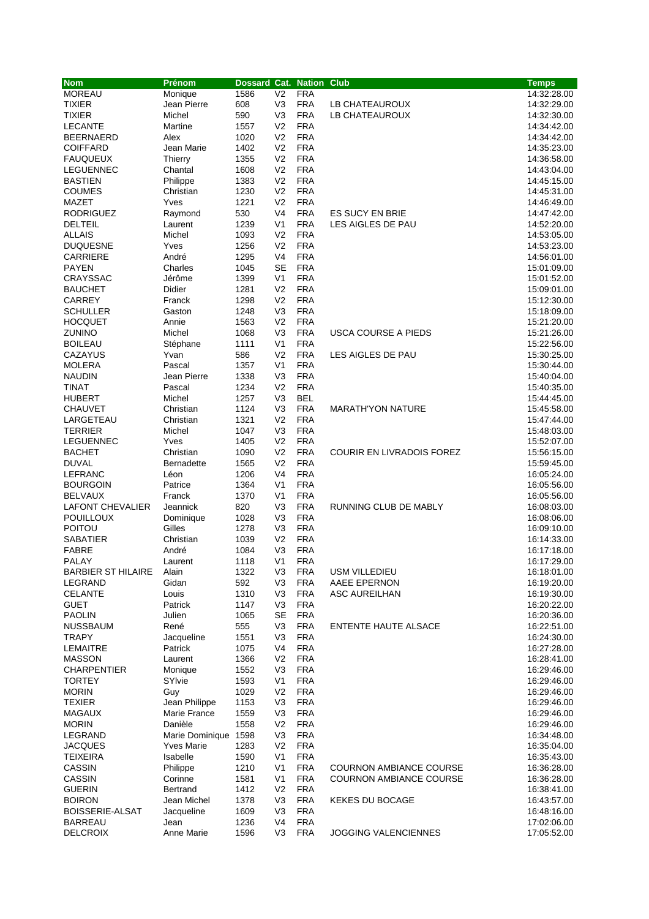| <b>Nom</b>                | Prénom               | <b>Dossard Cat. Nation</b> |                |            | <b>Club</b>                      | <b>Temps</b> |
|---------------------------|----------------------|----------------------------|----------------|------------|----------------------------------|--------------|
| <b>MOREAU</b>             | Monique              | 1586                       | V <sub>2</sub> | <b>FRA</b> |                                  | 14:32:28.00  |
| <b>TIXIER</b>             | Jean Pierre          | 608                        | V <sub>3</sub> | <b>FRA</b> | LB CHATEAUROUX                   | 14:32:29.00  |
| <b>TIXIER</b>             | Michel               | 590                        | V <sub>3</sub> | <b>FRA</b> | LB CHATEAUROUX                   | 14:32:30.00  |
| <b>LECANTE</b>            | Martine              | 1557                       | V <sub>2</sub> | <b>FRA</b> |                                  | 14:34:42.00  |
| <b>BEERNAERD</b>          | Alex                 | 1020                       | V <sub>2</sub> | <b>FRA</b> |                                  | 14:34:42.00  |
| <b>COIFFARD</b>           | Jean Marie           | 1402                       | V <sub>2</sub> | <b>FRA</b> |                                  | 14:35:23.00  |
| <b>FAUQUEUX</b>           | Thierry              | 1355                       | V <sub>2</sub> | <b>FRA</b> |                                  | 14:36:58.00  |
| <b>LEGUENNEC</b>          | Chantal              | 1608                       | V <sub>2</sub> | <b>FRA</b> |                                  | 14:43:04.00  |
| <b>BASTIEN</b>            | Philippe             | 1383                       | V <sub>2</sub> | <b>FRA</b> |                                  | 14:45:15.00  |
| <b>COUMES</b>             | Christian            | 1230                       | V <sub>2</sub> | <b>FRA</b> |                                  | 14:45:31.00  |
| MAZET                     | Yves                 | 1221                       | V <sub>2</sub> | <b>FRA</b> |                                  | 14:46:49.00  |
| <b>RODRIGUEZ</b>          | Raymond              | 530                        | V <sub>4</sub> | <b>FRA</b> | <b>ES SUCY EN BRIE</b>           | 14:47:42.00  |
| <b>DELTEIL</b>            | Laurent              | 1239                       | V <sub>1</sub> | <b>FRA</b> | LES AIGLES DE PAU                | 14:52:20.00  |
| <b>ALLAIS</b>             | Michel               | 1093                       | V <sub>2</sub> | <b>FRA</b> |                                  | 14:53:05.00  |
| <b>DUQUESNE</b>           | Yves                 | 1256                       | V <sub>2</sub> | <b>FRA</b> |                                  | 14:53:23.00  |
| <b>CARRIERE</b>           | André                | 1295                       | V <sub>4</sub> | <b>FRA</b> |                                  | 14:56:01.00  |
| <b>PAYEN</b>              | Charles              | 1045                       | <b>SE</b>      | <b>FRA</b> |                                  | 15:01:09.00  |
| CRAYSSAC                  | Jérôme               | 1399                       | V <sub>1</sub> | <b>FRA</b> |                                  | 15:01:52.00  |
| <b>BAUCHET</b>            | Didier               | 1281                       | V <sub>2</sub> | <b>FRA</b> |                                  | 15:09:01.00  |
| <b>CARREY</b>             | Franck               | 1298                       | V <sub>2</sub> | <b>FRA</b> |                                  | 15:12:30.00  |
| <b>SCHULLER</b>           | Gaston               | 1248                       | V <sub>3</sub> | <b>FRA</b> |                                  | 15:18:09.00  |
| <b>HOCQUET</b>            | Annie                | 1563                       | V <sub>2</sub> | <b>FRA</b> |                                  | 15:21:20.00  |
| <b>ZUNINO</b>             | Michel               | 1068                       | V <sub>3</sub> | <b>FRA</b> | USCA COURSE A PIEDS              | 15:21:26.00  |
| <b>BOILEAU</b>            | Stéphane             | 1111                       | V <sub>1</sub> | <b>FRA</b> |                                  | 15:22:56.00  |
| <b>CAZAYUS</b>            | Yvan                 | 586                        | V <sub>2</sub> | <b>FRA</b> | LES AIGLES DE PAU                | 15:30:25.00  |
| <b>MOLERA</b>             | Pascal               | 1357                       | V <sub>1</sub> | <b>FRA</b> |                                  | 15:30:44.00  |
| <b>NAUDIN</b>             | Jean Pierre          | 1338                       | V <sub>3</sub> | <b>FRA</b> |                                  | 15:40:04.00  |
| TINAT                     | Pascal               | 1234                       | V <sub>2</sub> | <b>FRA</b> |                                  | 15:40:35.00  |
| <b>HUBERT</b>             | Michel               | 1257                       | V <sub>3</sub> | <b>BEL</b> |                                  | 15:44:45.00  |
| <b>CHAUVET</b>            | Christian            | 1124                       | V <sub>3</sub> | <b>FRA</b> | <b>MARATH'YON NATURE</b>         | 15:45:58.00  |
| LARGETEAU                 | Christian            | 1321                       | V <sub>2</sub> | <b>FRA</b> |                                  | 15:47:44.00  |
| <b>TERRIER</b>            | Michel               | 1047                       | V <sub>3</sub> | <b>FRA</b> |                                  | 15:48:03.00  |
| <b>LEGUENNEC</b>          | Yves                 | 1405                       | V <sub>2</sub> | <b>FRA</b> |                                  | 15:52:07.00  |
| <b>BACHET</b>             | Christian            | 1090                       | V <sub>2</sub> | <b>FRA</b> | <b>COURIR EN LIVRADOIS FOREZ</b> | 15:56:15.00  |
| <b>DUVAL</b>              | <b>Bernadette</b>    | 1565                       | V <sub>2</sub> | <b>FRA</b> |                                  | 15:59:45.00  |
| <b>LEFRANC</b>            | Léon                 | 1206                       | V <sub>4</sub> | <b>FRA</b> |                                  | 16:05:24.00  |
| <b>BOURGOIN</b>           | Patrice              | 1364                       | V <sub>1</sub> | <b>FRA</b> |                                  | 16:05:56.00  |
| <b>BELVAUX</b>            | Franck               | 1370                       | V <sub>1</sub> | <b>FRA</b> |                                  | 16:05:56.00  |
| LAFONT CHEVALIER          | Jeannick             | 820                        | V <sub>3</sub> | <b>FRA</b> | RUNNING CLUB DE MABLY            | 16:08:03.00  |
| <b>POUILLOUX</b>          | Dominique            | 1028                       | V3             | <b>FRA</b> |                                  | 16:08:06.00  |
| <b>POITOU</b>             | Gilles               | 1278                       | V <sub>3</sub> | <b>FRA</b> |                                  | 16:09:10.00  |
| <b>SABATIER</b>           | Christian            | 1039                       | V <sub>2</sub> | <b>FRA</b> |                                  | 16:14:33.00  |
| <b>FABRE</b>              | André                | 1084                       | V3             | <b>FRA</b> |                                  | 16:17:18.00  |
| PALAY                     | Laurent              | 1118                       | V <sub>1</sub> | <b>FRA</b> |                                  | 16:17:29.00  |
| <b>BARBIER ST HILAIRE</b> | Alain                | 1322                       | V3             | <b>FRA</b> | <b>USM VILLEDIEU</b>             | 16:18:01.00  |
| LEGRAND                   | Gidan                | 592                        | V <sub>3</sub> | <b>FRA</b> | AAEE EPERNON                     | 16:19:20.00  |
| <b>CELANTE</b>            | Louis                | 1310                       | V3             | <b>FRA</b> | <b>ASC AUREILHAN</b>             | 16:19:30.00  |
| <b>GUET</b>               | Patrick              | 1147                       | V <sub>3</sub> | <b>FRA</b> |                                  | 16:20:22.00  |
| <b>PAOLIN</b>             | Julien               | 1065                       | <b>SE</b>      | <b>FRA</b> |                                  | 16:20:36.00  |
| <b>NUSSBAUM</b>           | René                 | 555                        | V <sub>3</sub> | <b>FRA</b> | <b>ENTENTE HAUTE ALSACE</b>      | 16:22:51.00  |
| <b>TRAPY</b>              | Jacqueline           | 1551                       | V <sub>3</sub> | <b>FRA</b> |                                  | 16:24:30.00  |
| <b>LEMAITRE</b>           | Patrick              | 1075                       | V4             | <b>FRA</b> |                                  | 16:27:28.00  |
| <b>MASSON</b>             | Laurent              | 1366                       | V <sub>2</sub> | <b>FRA</b> |                                  | 16:28:41.00  |
| <b>CHARPENTIER</b>        | Monique              | 1552                       | V3             | <b>FRA</b> |                                  | 16:29:46.00  |
| <b>TORTEY</b>             | SYlvie               | 1593                       | V <sub>1</sub> | <b>FRA</b> |                                  | 16:29:46.00  |
| <b>MORIN</b>              | Guy                  | 1029                       | V <sub>2</sub> | <b>FRA</b> |                                  | 16:29:46.00  |
| <b>TEXIER</b>             | Jean Philippe        | 1153                       | V3             | <b>FRA</b> |                                  | 16:29:46.00  |
| <b>MAGAUX</b>             | Marie France         | 1559                       | V <sub>3</sub> | <b>FRA</b> |                                  | 16:29:46.00  |
| <b>MORIN</b>              | Danièle              | 1558                       | V <sub>2</sub> | <b>FRA</b> |                                  | 16:29:46.00  |
| LEGRAND                   | Marie Dominique 1598 |                            | V <sub>3</sub> | <b>FRA</b> |                                  | 16:34:48.00  |
| <b>JACQUES</b>            | <b>Yves Marie</b>    | 1283                       | V <sub>2</sub> | <b>FRA</b> |                                  | 16:35:04.00  |
| TEIXEIRA                  | Isabelle             | 1590                       | V <sub>1</sub> | <b>FRA</b> |                                  | 16:35:43.00  |
| <b>CASSIN</b>             | Philippe             | 1210                       | V <sub>1</sub> | <b>FRA</b> | <b>COURNON AMBIANCE COURSE</b>   | 16:36:28.00  |
| <b>CASSIN</b>             | Corinne              | 1581                       | V <sub>1</sub> | <b>FRA</b> | <b>COURNON AMBIANCE COURSE</b>   | 16:36:28.00  |
| <b>GUERIN</b>             | Bertrand             | 1412                       | V <sub>2</sub> | <b>FRA</b> |                                  | 16:38:41.00  |
| <b>BOIRON</b>             | Jean Michel          | 1378                       | V <sub>3</sub> | <b>FRA</b> | <b>KEKES DU BOCAGE</b>           | 16:43:57.00  |
| <b>BOISSERIE-ALSAT</b>    | Jacqueline           | 1609                       | V <sub>3</sub> | <b>FRA</b> |                                  | 16:48:16.00  |
| <b>BARREAU</b>            | Jean                 | 1236                       | V4             | <b>FRA</b> |                                  | 17:02:06.00  |
| <b>DELCROIX</b>           | Anne Marie           | 1596                       | V3             | <b>FRA</b> | <b>JOGGING VALENCIENNES</b>      | 17:05:52.00  |